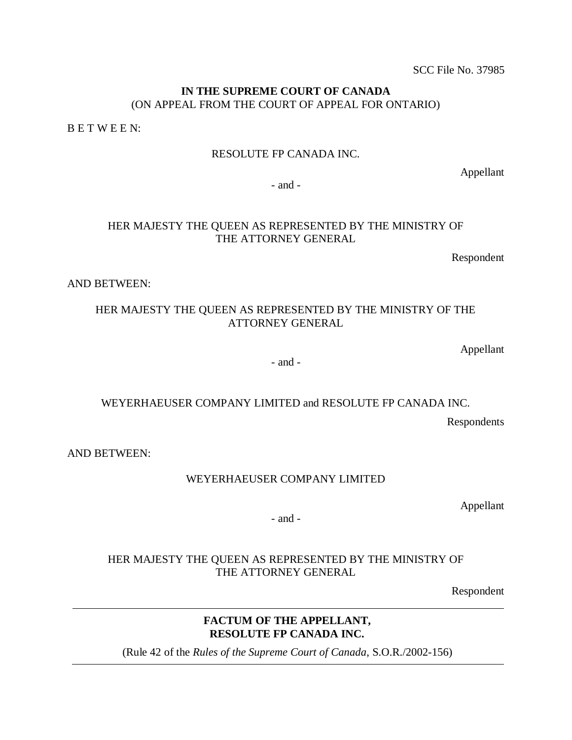SCC File No. 37985

# **IN THE SUPREME COURT OF CANADA**  (ON APPEAL FROM THE COURT OF APPEAL FOR ONTARIO)

B E T W E E N:

# RESOLUTE FP CANADA INC.

Appellant

- and -

# HER MAJESTY THE QUEEN AS REPRESENTED BY THE MINISTRY OF THE ATTORNEY GENERAL

Respondent

AND BETWEEN:

# HER MAJESTY THE QUEEN AS REPRESENTED BY THE MINISTRY OF THE ATTORNEY GENERAL

Appellant

- and -

# WEYERHAEUSER COMPANY LIMITED and RESOLUTE FP CANADA INC.

Respondents

AND BETWEEN:

WEYERHAEUSER COMPANY LIMITED

Appellant

- and -

# HER MAJESTY THE QUEEN AS REPRESENTED BY THE MINISTRY OF THE ATTORNEY GENERAL

Respondent

# **FACTUM OF THE APPELLANT, RESOLUTE FP CANADA INC.**

(Rule 42 of the *Rules of the Supreme Court of Canada*, S.O.R./2002-156)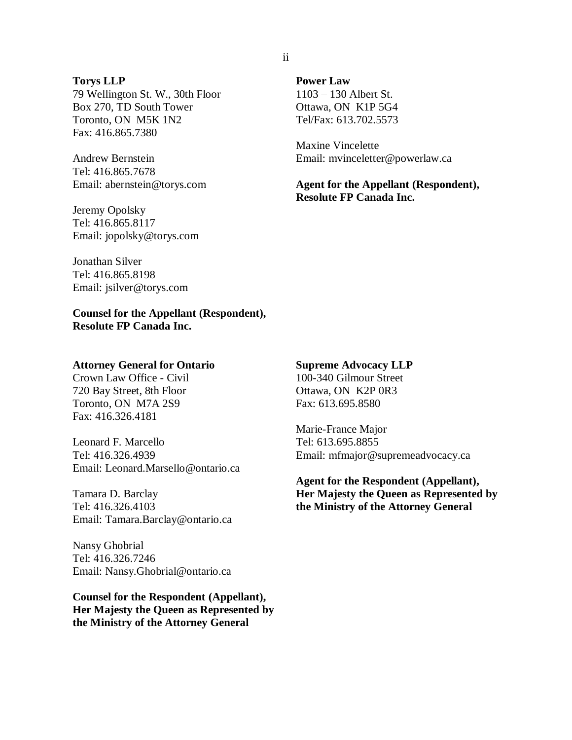#### **Torys LLP**

79 Wellington St. W., 30th Floor Box 270, TD South Tower Toronto, ON M5K 1N2 Fax: 416.865.7380

Andrew Bernstein Tel: 416.865.7678 Email: abernstein@torys.com

Jeremy Opolsky Tel: 416.865.8117 Email: jopolsky@torys.com **Power Law**  1103 – 130 Albert St. Ottawa, ON K1P 5G4 Tel/Fax: 613.702.5573

Maxine Vincelette Email: mvinceletter@powerlaw.ca

**Agent for the Appellant (Respondent), Resolute FP Canada Inc.**

Jonathan Silver Tel: 416.865.8198 Email: jsilver@torys.com

**Counsel for the Appellant (Respondent), Resolute FP Canada Inc.** 

#### **Attorney General for Ontario**

Crown Law Office - Civil 720 Bay Street, 8th Floor Toronto, ON M7A 2S9 Fax: 416.326.4181

Leonard F. Marcello Tel: 416.326.4939 Email: Leonard.Marsello@ontario.ca

Tamara D. Barclay Tel: 416.326.4103 Email: Tamara.Barclay@ontario.ca

Nansy Ghobrial Tel: 416.326.7246 Email: Nansy.Ghobrial@ontario.ca

**Counsel for the Respondent (Appellant), Her Majesty the Queen as Represented by the Ministry of the Attorney General**

#### **Supreme Advocacy LLP**

100-340 Gilmour Street Ottawa, ON K2P 0R3 Fax: 613.695.8580

Marie-France Major Tel: 613.695.8855 Email: mfmajor@supremeadvocacy.ca

**Agent for the Respondent (Appellant), Her Majesty the Queen as Represented by the Ministry of the Attorney General**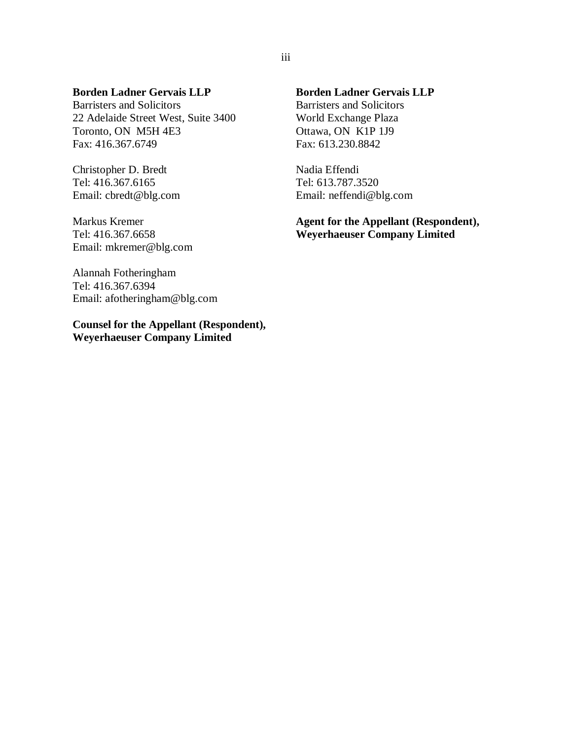### **Borden Ladner Gervais LLP**

Barristers and Solicitors 22 Adelaide Street West, Suite 3400 Toronto, ON M5H 4E3 Fax: 416.367.6749

Christopher D. Bredt Tel: 416.367.6165 Email: cbredt@blg.com

Markus Kremer Tel: 416.367.6658 Email: mkremer@blg.com

Alannah Fotheringham Tel: 416.367.6394 Email: afotheringham@blg.com

**Counsel for the Appellant (Respondent), Weyerhaeuser Company Limited**

# **Borden Ladner Gervais LLP**

Barristers and Solicitors World Exchange Plaza Ottawa, ON K1P 1J9 Fax: 613.230.8842

Nadia Effendi Tel: 613.787.3520 Email: neffendi@blg.com

**Agent for the Appellant (Respondent), Weyerhaeuser Company Limited**

### iii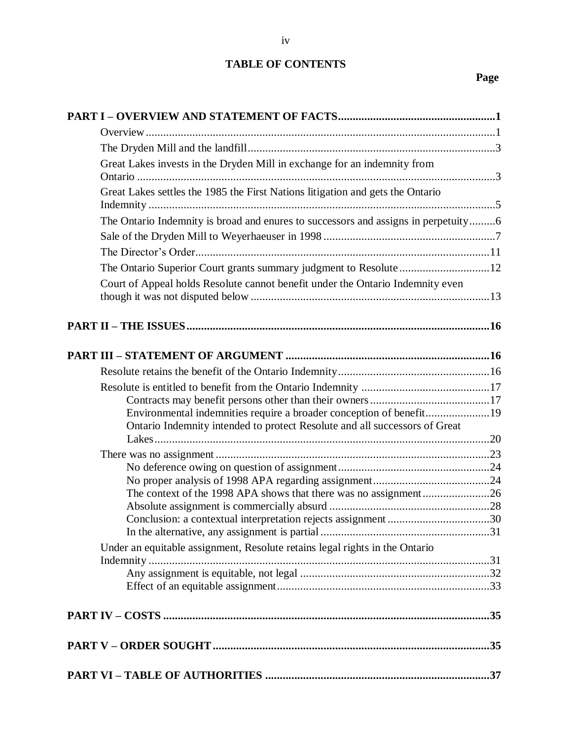# **TABLE OF CONTENTS**

# **Page**

| Great Lakes invests in the Dryden Mill in exchange for an indemnity from                                                                            |  |
|-----------------------------------------------------------------------------------------------------------------------------------------------------|--|
| Great Lakes settles the 1985 the First Nations litigation and gets the Ontario                                                                      |  |
| The Ontario Indemnity is broad and enures to successors and assigns in perpetuity6                                                                  |  |
|                                                                                                                                                     |  |
|                                                                                                                                                     |  |
| The Ontario Superior Court grants summary judgment to Resolute 12<br>Court of Appeal holds Resolute cannot benefit under the Ontario Indemnity even |  |
|                                                                                                                                                     |  |
|                                                                                                                                                     |  |
|                                                                                                                                                     |  |
|                                                                                                                                                     |  |
|                                                                                                                                                     |  |
| Environmental indemnities require a broader conception of benefit19<br>Ontario Indemnity intended to protect Resolute and all successors of Great   |  |
|                                                                                                                                                     |  |
|                                                                                                                                                     |  |
|                                                                                                                                                     |  |
| The context of the 1998 APA shows that there was no assignment26                                                                                    |  |
|                                                                                                                                                     |  |
|                                                                                                                                                     |  |
|                                                                                                                                                     |  |
| Under an equitable assignment, Resolute retains legal rights in the Ontario                                                                         |  |
|                                                                                                                                                     |  |
|                                                                                                                                                     |  |
|                                                                                                                                                     |  |
|                                                                                                                                                     |  |
|                                                                                                                                                     |  |
|                                                                                                                                                     |  |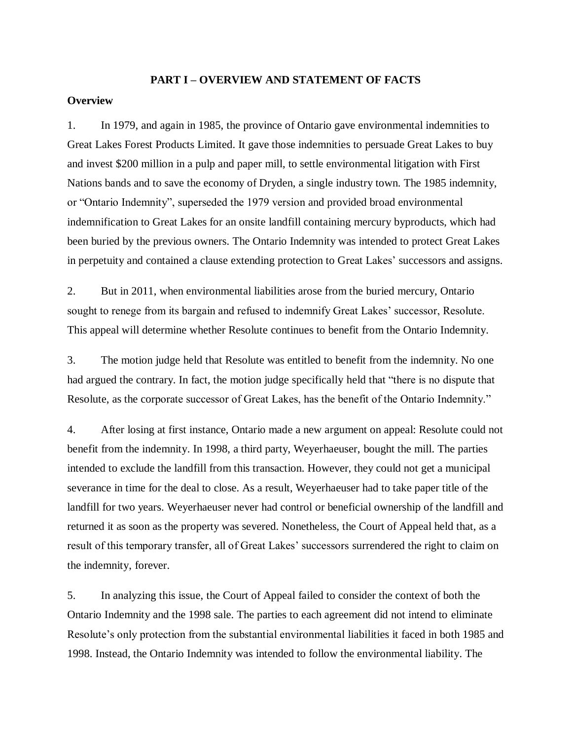#### **PART I – OVERVIEW AND STATEMENT OF FACTS**

#### <span id="page-4-1"></span><span id="page-4-0"></span>**Overview**

1. In 1979, and again in 1985, the province of Ontario gave environmental indemnities to Great Lakes Forest Products Limited. It gave those indemnities to persuade Great Lakes to buy and invest \$200 million in a pulp and paper mill, to settle environmental litigation with First Nations bands and to save the economy of Dryden, a single industry town. The 1985 indemnity, or "Ontario Indemnity", superseded the 1979 version and provided broad environmental indemnification to Great Lakes for an onsite landfill containing mercury byproducts, which had been buried by the previous owners. The Ontario Indemnity was intended to protect Great Lakes in perpetuity and contained a clause extending protection to Great Lakes' successors and assigns.

2. But in 2011, when environmental liabilities arose from the buried mercury, Ontario sought to renege from its bargain and refused to indemnify Great Lakes' successor, Resolute. This appeal will determine whether Resolute continues to benefit from the Ontario Indemnity.

3. The motion judge held that Resolute was entitled to benefit from the indemnity. No one had argued the contrary. In fact, the motion judge specifically held that "there is no dispute that Resolute, as the corporate successor of Great Lakes, has the benefit of the Ontario Indemnity."

4. After losing at first instance, Ontario made a new argument on appeal: Resolute could not benefit from the indemnity. In 1998, a third party, Weyerhaeuser, bought the mill. The parties intended to exclude the landfill from this transaction. However, they could not get a municipal severance in time for the deal to close. As a result, Weyerhaeuser had to take paper title of the landfill for two years. Weyerhaeuser never had control or beneficial ownership of the landfill and returned it as soon as the property was severed. Nonetheless, the Court of Appeal held that, as a result of this temporary transfer, all of Great Lakes' successors surrendered the right to claim on the indemnity, forever.

5. In analyzing this issue, the Court of Appeal failed to consider the context of both the Ontario Indemnity and the 1998 sale. The parties to each agreement did not intend to eliminate Resolute's only protection from the substantial environmental liabilities it faced in both 1985 and 1998. Instead, the Ontario Indemnity was intended to follow the environmental liability. The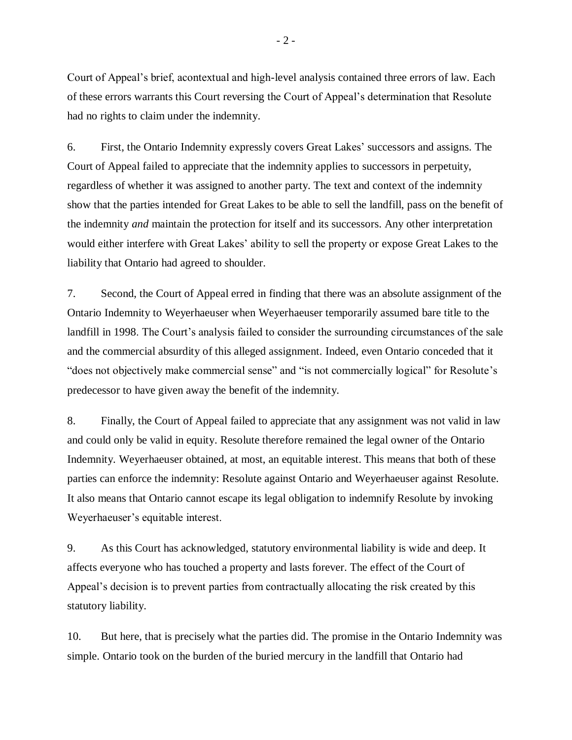Court of Appeal's brief, acontextual and high-level analysis contained three errors of law. Each of these errors warrants this Court reversing the Court of Appeal's determination that Resolute had no rights to claim under the indemnity.

6. First, the Ontario Indemnity expressly covers Great Lakes' successors and assigns. The Court of Appeal failed to appreciate that the indemnity applies to successors in perpetuity, regardless of whether it was assigned to another party. The text and context of the indemnity show that the parties intended for Great Lakes to be able to sell the landfill, pass on the benefit of the indemnity *and* maintain the protection for itself and its successors. Any other interpretation would either interfere with Great Lakes' ability to sell the property or expose Great Lakes to the liability that Ontario had agreed to shoulder.

7. Second, the Court of Appeal erred in finding that there was an absolute assignment of the Ontario Indemnity to Weyerhaeuser when Weyerhaeuser temporarily assumed bare title to the landfill in 1998. The Court's analysis failed to consider the surrounding circumstances of the sale and the commercial absurdity of this alleged assignment. Indeed, even Ontario conceded that it "does not objectively make commercial sense" and "is not commercially logical" for Resolute's predecessor to have given away the benefit of the indemnity.

8. Finally, the Court of Appeal failed to appreciate that any assignment was not valid in law and could only be valid in equity. Resolute therefore remained the legal owner of the Ontario Indemnity. Weyerhaeuser obtained, at most, an equitable interest. This means that both of these parties can enforce the indemnity: Resolute against Ontario and Weyerhaeuser against Resolute. It also means that Ontario cannot escape its legal obligation to indemnify Resolute by invoking Weyerhaeuser's equitable interest.

9. As this Court has acknowledged, statutory environmental liability is wide and deep. It affects everyone who has touched a property and lasts forever. The effect of the Court of Appeal's decision is to prevent parties from contractually allocating the risk created by this statutory liability.

10. But here, that is precisely what the parties did. The promise in the Ontario Indemnity was simple. Ontario took on the burden of the buried mercury in the landfill that Ontario had

- 2 -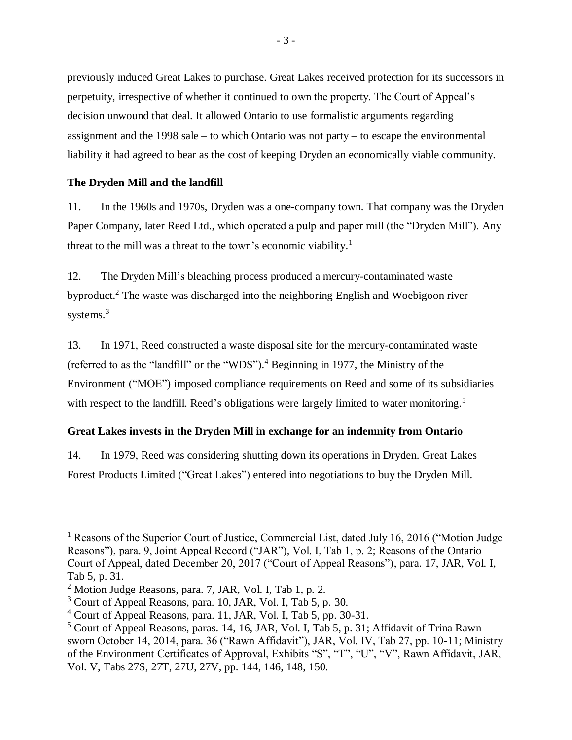previously induced Great Lakes to purchase. Great Lakes received protection for its successors in perpetuity, irrespective of whether it continued to own the property. The Court of Appeal's decision unwound that deal. It allowed Ontario to use formalistic arguments regarding assignment and the 1998 sale – to which Ontario was not party – to escape the environmental liability it had agreed to bear as the cost of keeping Dryden an economically viable community.

# <span id="page-6-0"></span>**The Dryden Mill and the landfill**

11. In the 1960s and 1970s, Dryden was a one-company town. That company was the Dryden Paper Company, later Reed Ltd., which operated a pulp and paper mill (the "Dryden Mill"). Any threat to the mill was a threat to the town's economic viability.<sup>1</sup>

12. The Dryden Mill's bleaching process produced a mercury-contaminated waste byproduct.<sup>2</sup> The waste was discharged into the neighboring English and Woebigoon river systems. 3

13. In 1971, Reed constructed a waste disposal site for the mercury-contaminated waste (referred to as the "landfill" or the "WDS").<sup>4</sup> Beginning in 1977, the Ministry of the Environment ("MOE") imposed compliance requirements on Reed and some of its subsidiaries with respect to the landfill. Reed's obligations were largely limited to water monitoring.<sup>5</sup>

# <span id="page-6-1"></span>**Great Lakes invests in the Dryden Mill in exchange for an indemnity from Ontario**

14. In 1979, Reed was considering shutting down its operations in Dryden. Great Lakes Forest Products Limited ("Great Lakes") entered into negotiations to buy the Dryden Mill.

<sup>&</sup>lt;sup>1</sup> Reasons of the Superior Court of Justice, Commercial List, dated July 16, 2016 ("Motion Judge" Reasons"), para. 9, Joint Appeal Record ("JAR"), Vol. I, Tab 1, p. 2; Reasons of the Ontario Court of Appeal, dated December 20, 2017 ("Court of Appeal Reasons"), para. 17, JAR, Vol. I, Tab 5, p. 31.

<sup>2</sup> Motion Judge Reasons, para. 7, JAR, Vol. I, Tab 1, p. 2.

<sup>3</sup> Court of Appeal Reasons, para. 10, JAR, Vol. I, Tab 5, p. 30.

 $4$  Court of Appeal Reasons, para. 11, JAR, Vol. I, Tab 5, pp. 30-31.

<sup>5</sup> Court of Appeal Reasons, paras. 14, 16, JAR, Vol. I, Tab 5, p. 31; Affidavit of Trina Rawn sworn October 14, 2014, para. 36 ("Rawn Affidavit"), JAR, Vol. IV, Tab 27, pp. 10-11; Ministry of the Environment Certificates of Approval, Exhibits "S", "T", "U", "V", Rawn Affidavit, JAR, Vol. V, Tabs 27S, 27T, 27U, 27V, pp. 144, 146, 148, 150.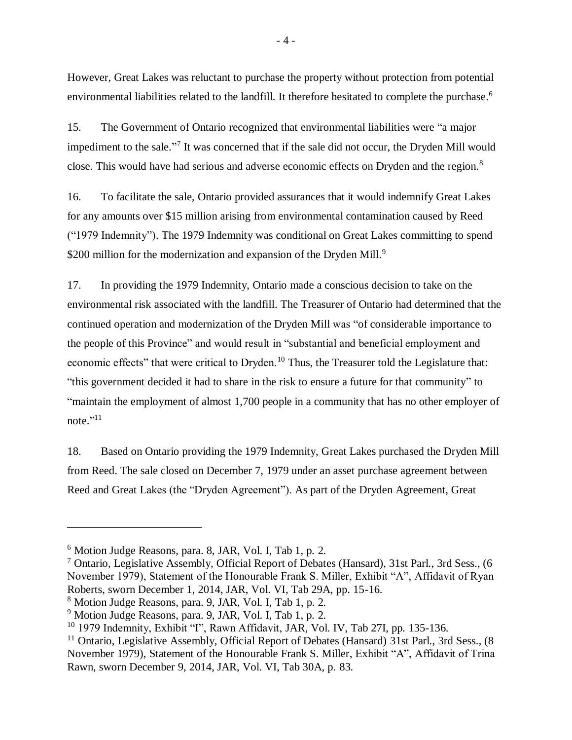However, Great Lakes was reluctant to purchase the property without protection from potential environmental liabilities related to the landfill. It therefore hesitated to complete the purchase.<sup>6</sup>

15. The Government of Ontario recognized that environmental liabilities were "a major impediment to the sale."<sup>7</sup> It was concerned that if the sale did not occur, the Dryden Mill would close. This would have had serious and adverse economic effects on Dryden and the region.<sup>8</sup>

16. To facilitate the sale, Ontario provided assurances that it would indemnify Great Lakes for any amounts over \$15 million arising from environmental contamination caused by Reed ("1979 Indemnity"). The 1979 Indemnity was conditional on Great Lakes committing to spend \$200 million for the modernization and expansion of the Dryden Mill.<sup>9</sup>

17. In providing the 1979 Indemnity, Ontario made a conscious decision to take on the environmental risk associated with the landfill. The Treasurer of Ontario had determined that the continued operation and modernization of the Dryden Mill was "of considerable importance to the people of this Province" and would result in "substantial and beneficial employment and economic effects" that were critical to Dryden.<sup>10</sup> Thus, the Treasurer told the Legislature that: "this government decided it had to share in the risk to ensure a future for that community" to "maintain the employment of almost 1,700 people in a community that has no other employer of note." $11$ 

18. Based on Ontario providing the 1979 Indemnity, Great Lakes purchased the Dryden Mill from Reed. The sale closed on December 7, 1979 under an asset purchase agreement between Reed and Great Lakes (the "Dryden Agreement"). As part of the Dryden Agreement, Great

<sup>6</sup> Motion Judge Reasons, para. 8, JAR, Vol. I, Tab 1, p. 2.

<sup>7</sup> Ontario, Legislative Assembly, Official Report of Debates (Hansard), 31st Parl., 3rd Sess., (6 November 1979), Statement of the Honourable Frank S. Miller, Exhibit "A", Affidavit of Ryan Roberts, sworn December 1, 2014, JAR, Vol. VI, Tab 29A, pp. 15-16.

<sup>8</sup> Motion Judge Reasons, para. 9, JAR, Vol. I, Tab 1, p. 2.

<sup>9</sup> Motion Judge Reasons, para. 9, JAR, Vol. I, Tab 1, p. 2.

<sup>&</sup>lt;sup>10</sup> 1979 Indemnity, Exhibit "I", Rawn Affidavit, JAR, Vol. IV, Tab 27I, pp. 135-136.

<sup>&</sup>lt;sup>11</sup> Ontario, Legislative Assembly, Official Report of Debates (Hansard) 31st Parl., 3rd Sess., (8 November 1979), Statement of the Honourable Frank S. Miller, Exhibit "A", Affidavit of Trina Rawn, sworn December 9, 2014, JAR, Vol. VI, Tab 30A, p. 83.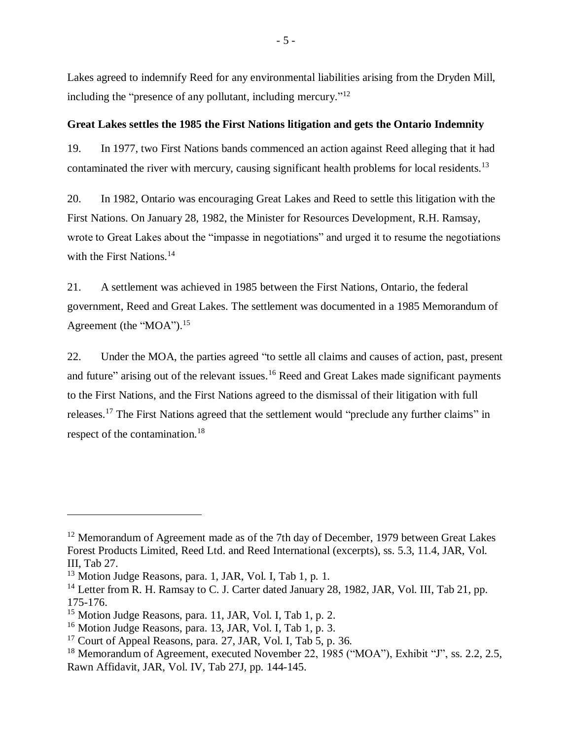Lakes agreed to indemnify Reed for any environmental liabilities arising from the Dryden Mill, including the "presence of any pollutant, including mercury."<sup>12</sup>

### <span id="page-8-0"></span>**Great Lakes settles the 1985 the First Nations litigation and gets the Ontario Indemnity**

19. In 1977, two First Nations bands commenced an action against Reed alleging that it had contaminated the river with mercury, causing significant health problems for local residents.<sup>13</sup>

20. In 1982, Ontario was encouraging Great Lakes and Reed to settle this litigation with the First Nations. On January 28, 1982, the Minister for Resources Development, R.H. Ramsay, wrote to Great Lakes about the "impasse in negotiations" and urged it to resume the negotiations with the First Nations.<sup>14</sup>

21. A settlement was achieved in 1985 between the First Nations, Ontario, the federal government, Reed and Great Lakes. The settlement was documented in a 1985 Memorandum of Agreement (the "MOA").<sup>15</sup>

22. Under the MOA, the parties agreed "to settle all claims and causes of action, past, present and future" arising out of the relevant issues.<sup>16</sup> Reed and Great Lakes made significant payments to the First Nations, and the First Nations agreed to the dismissal of their litigation with full releases.<sup>17</sup> The First Nations agreed that the settlement would "preclude any further claims" in respect of the contamination.<sup>18</sup>

<sup>&</sup>lt;sup>12</sup> Memorandum of Agreement made as of the 7th day of December, 1979 between Great Lakes Forest Products Limited, Reed Ltd. and Reed International (excerpts), ss. 5.3, 11.4, JAR, Vol. III, Tab 27.

<sup>&</sup>lt;sup>13</sup> Motion Judge Reasons, para. 1, JAR, Vol. I, Tab 1, p. 1.

<sup>&</sup>lt;sup>14</sup> Letter from R. H. Ramsay to C. J. Carter dated January 28, 1982, JAR, Vol. III, Tab 21, pp. 175-176.

<sup>&</sup>lt;sup>15</sup> Motion Judge Reasons, para. 11, JAR, Vol. I, Tab 1, p. 2.

<sup>16</sup> Motion Judge Reasons, para. 13, JAR, Vol. I, Tab 1, p. 3.

 $17$  Court of Appeal Reasons, para. 27, JAR, Vol. I, Tab 5, p. 36.

<sup>&</sup>lt;sup>18</sup> Memorandum of Agreement, executed November 22, 1985 ("MOA"), Exhibit "J", ss. 2.2, 2.5, Rawn Affidavit, JAR, Vol. IV, Tab 27J, pp. 144-145.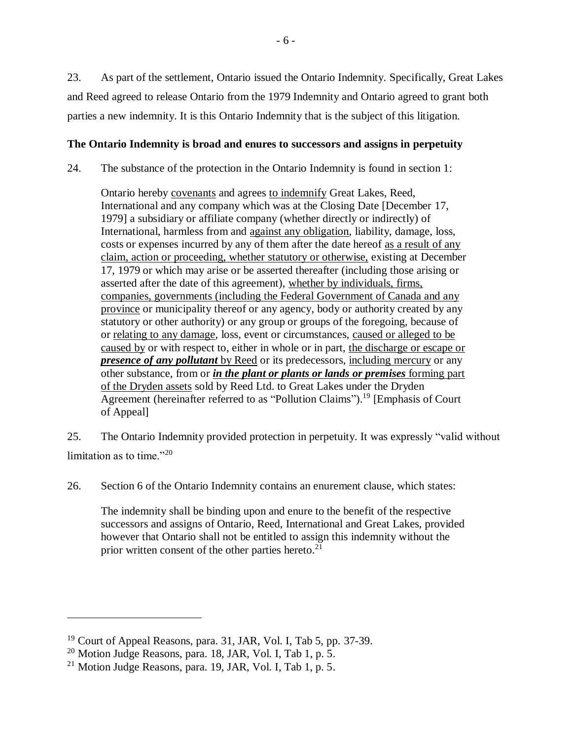23. As part of the settlement, Ontario issued the Ontario Indemnity. Specifically, Great Lakes and Reed agreed to release Ontario from the 1979 Indemnity and Ontario agreed to grant both parties a new indemnity. It is this Ontario Indemnity that is the subject of this litigation.

# <span id="page-9-0"></span>**The Ontario Indemnity is broad and enures to successors and assigns in perpetuity**

24. The substance of the protection in the Ontario Indemnity is found in section 1:

Ontario hereby covenants and agrees to indemnify Great Lakes, Reed, International and any company which was at the Closing Date [December 17, 1979] a subsidiary or affiliate company (whether directly or indirectly) of International, harmless from and against any obligation, liability, damage, loss, costs or expenses incurred by any of them after the date hereof as a result of any claim, action or proceeding, whether statutory or otherwise, existing at December 17, 1979 or which may arise or be asserted thereafter (including those arising or asserted after the date of this agreement), whether by individuals, firms, companies, governments (including the Federal Government of Canada and any province or municipality thereof or any agency, body or authority created by any statutory or other authority) or any group or groups of the foregoing, because of or relating to any damage, loss, event or circumstances, caused or alleged to be caused by or with respect to, either in whole or in part, the discharge or escape or *presence of any pollutant* by Reed or its predecessors, including mercury or any other substance, from or *in the plant or plants or lands or premises* forming part of the Dryden assets sold by Reed Ltd. to Great Lakes under the Dryden Agreement (hereinafter referred to as "Pollution Claims").<sup>19</sup> [Emphasis of Court] of Appeal]

25. The Ontario Indemnity provided protection in perpetuity. It was expressly "valid without limitation as to time."<sup>20</sup>

26. Section 6 of the Ontario Indemnity contains an enurement clause, which states:

The indemnity shall be binding upon and enure to the benefit of the respective successors and assigns of Ontario, Reed, International and Great Lakes, provided however that Ontario shall not be entitled to assign this indemnity without the prior written consent of the other parties hereto. $21$ 

<sup>19</sup> Court of Appeal Reasons, para. 31, JAR, Vol. I, Tab 5, pp. 37-39.

 $20$  Motion Judge Reasons, para. 18, JAR, Vol. I, Tab 1, p. 5.

 $^{21}$  Motion Judge Reasons, para. 19, JAR, Vol. I, Tab 1, p. 5.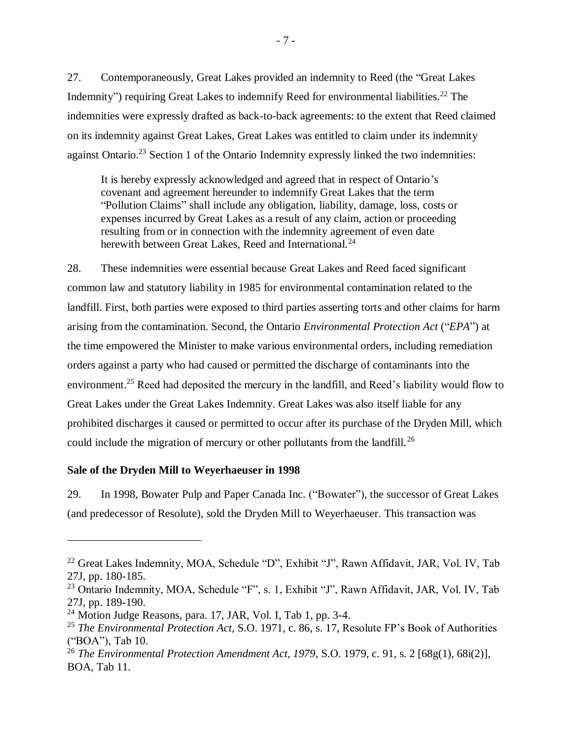27. Contemporaneously, Great Lakes provided an indemnity to Reed (the "Great Lakes Indemnity") requiring Great Lakes to indemnify Reed for environmental liabilities.<sup>22</sup> The indemnities were expressly drafted as back-to-back agreements: to the extent that Reed claimed on its indemnity against Great Lakes, Great Lakes was entitled to claim under its indemnity against Ontario.<sup>23</sup> Section 1 of the Ontario Indemnity expressly linked the two indemnities:

It is hereby expressly acknowledged and agreed that in respect of Ontario's covenant and agreement hereunder to indemnify Great Lakes that the term "Pollution Claims" shall include any obligation, liability, damage, loss, costs or expenses incurred by Great Lakes as a result of any claim, action or proceeding resulting from or in connection with the indemnity agreement of even date herewith between Great Lakes, Reed and International.<sup>24</sup>

28. These indemnities were essential because Great Lakes and Reed faced significant common law and statutory liability in 1985 for environmental contamination related to the landfill. First, both parties were exposed to third parties asserting torts and other claims for harm arising from the contamination. Second, the Ontario *Environmental Protection Act* ("*EPA*") at the time empowered the Minister to make various environmental orders, including remediation orders against a party who had caused or permitted the discharge of contaminants into the environment.<sup>25</sup> Reed had deposited the mercury in the landfill, and Reed's liability would flow to Great Lakes under the Great Lakes Indemnity. Great Lakes was also itself liable for any prohibited discharges it caused or permitted to occur after its purchase of the Dryden Mill, which could include the migration of mercury or other pollutants from the landfill.<sup>26</sup>

# <span id="page-10-0"></span>**Sale of the Dryden Mill to Weyerhaeuser in 1998**

29. In 1998, Bowater Pulp and Paper Canada Inc. ("Bowater"), the successor of Great Lakes (and predecessor of Resolute), sold the Dryden Mill to Weyerhaeuser. This transaction was

<sup>22</sup> Great Lakes Indemnity, MOA, Schedule "D", Exhibit "J", Rawn Affidavit, JAR, Vol. IV, Tab 27J, pp. 180-185.

<sup>&</sup>lt;sup>23</sup> Ontario Indemnity, MOA, Schedule "F", s. 1, Exhibit "J", Rawn Affidavit, JAR, Vol. IV, Tab 27J, pp. 189-190.

 $24$  Motion Judge Reasons, para. 17, JAR, Vol. I, Tab 1, pp. 3-4.

<sup>25</sup> *The Environmental Protection Act*, S.O. 1971, c. 86, s. 17, Resolute FP's Book of Authorities ("BOA"), Tab 10.

<sup>&</sup>lt;sup>26</sup> *The Environmental Protection Amendment Act, 1979, S.O. 1979, c. 91, s. 2* [68g(1), 68i(2)], BOA, Tab 11.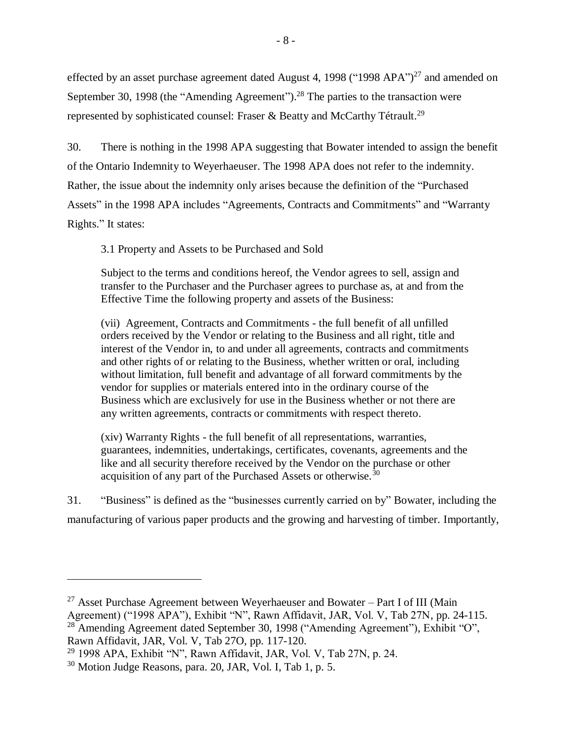effected by an asset purchase agreement dated August 4, 1998 ("1998 APA")<sup>27</sup> and amended on September 30, 1998 (the "Amending Agreement").<sup>28</sup> The parties to the transaction were represented by sophisticated counsel: Fraser & Beatty and McCarthy Tétrault.<sup>29</sup>

30. There is nothing in the 1998 APA suggesting that Bowater intended to assign the benefit of the Ontario Indemnity to Weyerhaeuser. The 1998 APA does not refer to the indemnity. Rather, the issue about the indemnity only arises because the definition of the "Purchased Assets" in the 1998 APA includes "Agreements, Contracts and Commitments" and "Warranty Rights." It states:

3.1 Property and Assets to be Purchased and Sold

Subject to the terms and conditions hereof, the Vendor agrees to sell, assign and transfer to the Purchaser and the Purchaser agrees to purchase as, at and from the Effective Time the following property and assets of the Business:

(vii) Agreement, Contracts and Commitments - the full benefit of all unfilled orders received by the Vendor or relating to the Business and all right, title and interest of the Vendor in, to and under all agreements, contracts and commitments and other rights of or relating to the Business, whether written or oral, including without limitation, full benefit and advantage of all forward commitments by the vendor for supplies or materials entered into in the ordinary course of the Business which are exclusively for use in the Business whether or not there are any written agreements, contracts or commitments with respect thereto.

(xiv) Warranty Rights - the full benefit of all representations, warranties, guarantees, indemnities, undertakings, certificates, covenants, agreements and the like and all security therefore received by the Vendor on the purchase or other acquisition of any part of the Purchased Assets or otherwise. $30$ 

31. "Business" is defined as the "businesses currently carried on by" Bowater, including the manufacturing of various paper products and the growing and harvesting of timber. Importantly,

<sup>&</sup>lt;sup>27</sup> Asset Purchase Agreement between Weyerhaeuser and Bowater – Part I of III (Main Agreement) ("1998 APA"), Exhibit "N", Rawn Affidavit, JAR, Vol. V, Tab 27N, pp. 24-115. <sup>28</sup> Amending Agreement dated September 30, 1998 ("Amending Agreement"), Exhibit "O",

Rawn Affidavit, JAR, Vol. V, Tab 27O, pp. 117-120.

<sup>29</sup> 1998 APA, Exhibit "N", Rawn Affidavit, JAR, Vol. V, Tab 27N, p. 24.

<sup>30</sup> Motion Judge Reasons, para. 20, JAR, Vol. I, Tab 1, p. 5.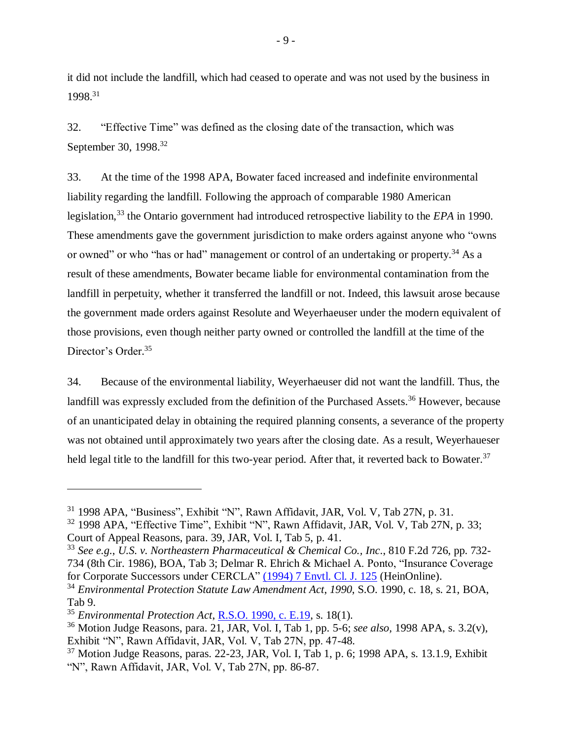it did not include the landfill, which had ceased to operate and was not used by the business in 1998. 31

32. "Effective Time" was defined as the closing date of the transaction, which was September 30, 1998.<sup>32</sup>

33. At the time of the 1998 APA, Bowater faced increased and indefinite environmental liability regarding the landfill. Following the approach of comparable 1980 American legislation,<sup>33</sup> the Ontario government had introduced retrospective liability to the *EPA* in 1990. These amendments gave the government jurisdiction to make orders against anyone who "owns or owned" or who "has or had" management or control of an undertaking or property.<sup>34</sup> As a result of these amendments, Bowater became liable for environmental contamination from the landfill in perpetuity, whether it transferred the landfill or not. Indeed, this lawsuit arose because the government made orders against Resolute and Weyerhaeuser under the modern equivalent of those provisions, even though neither party owned or controlled the landfill at the time of the Director's Order. 35

34. Because of the environmental liability, Weyerhaeuser did not want the landfill. Thus, the landfill was expressly excluded from the definition of the Purchased Assets.<sup>36</sup> However, because of an unanticipated delay in obtaining the required planning consents, a severance of the property was not obtained until approximately two years after the closing date. As a result, Weyerhaueser held legal title to the landfill for this two-year period. After that, it reverted back to Bowater.<sup>37</sup>

<sup>31</sup> 1998 APA, "Business", Exhibit "N", Rawn Affidavit, JAR, Vol. V, Tab 27N, p. 31.

<sup>&</sup>lt;sup>32</sup> 1998 APA, "Effective Time", Exhibit "N", Rawn Affidavit, JAR, Vol. V, Tab 27N, p. 33; Court of Appeal Reasons, para. 39, JAR, Vol. I, Tab 5, p. 41.

<sup>33</sup> *See e.g.*, *U.S. v. Northeastern Pharmaceutical & Chemical Co., Inc*., 810 F.2d 726, pp. 732- 734 (8th Cir. 1986), BOA, Tab 3; Delmar R. Ehrich & Michael A. Ponto, "Insurance Coverage for Corporate Successors under CERCLA" [\(1994\) 7 Envtl. Cl. J. 125](https://heinonline.org/HOL/P?h=hein.journals/envcl7&i=127) (HeinOnline).

<sup>34</sup> *Environmental Protection Statute Law Amendment Act*, *1990*, S.O. 1990, c. 18, s. 21, BOA, Tab 9.

<sup>35</sup> *Environmental Protection Act*, [R.S.O. 1990, c. E.19,](https://www.ontario.ca/laws/statute/90e19) s. 18(1).

<sup>36</sup> Motion Judge Reasons, para. 21, JAR, Vol. I, Tab 1, pp. 5-6; *see also,* 1998 APA, s. 3.2(v), Exhibit "N", Rawn Affidavit, JAR, Vol. V, Tab 27N, pp. 47-48.

 $37$  Motion Judge Reasons, paras. 22-23, JAR, Vol. I, Tab 1, p. 6; 1998 APA, s. 13.1.9, Exhibit "N", Rawn Affidavit, JAR, Vol. V, Tab 27N, pp. 86-87.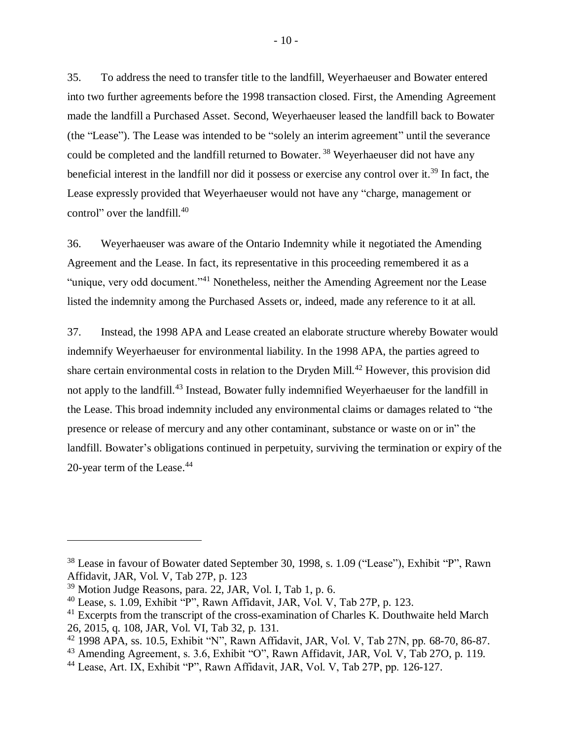35. To address the need to transfer title to the landfill, Weyerhaeuser and Bowater entered into two further agreements before the 1998 transaction closed. First, the Amending Agreement made the landfill a Purchased Asset. Second, Weyerhaeuser leased the landfill back to Bowater (the "Lease"). The Lease was intended to be "solely an interim agreement" until the severance could be completed and the landfill returned to Bowater.<sup>38</sup> Weyerhaeuser did not have any beneficial interest in the landfill nor did it possess or exercise any control over it.<sup>39</sup> In fact, the Lease expressly provided that Weyerhaeuser would not have any "charge, management or control" over the landfill. 40

36. Weyerhaeuser was aware of the Ontario Indemnity while it negotiated the Amending Agreement and the Lease. In fact, its representative in this proceeding remembered it as a "unique, very odd document."<sup>41</sup> Nonetheless, neither the Amending Agreement nor the Lease listed the indemnity among the Purchased Assets or, indeed, made any reference to it at all.

37. Instead, the 1998 APA and Lease created an elaborate structure whereby Bowater would indemnify Weyerhaeuser for environmental liability. In the 1998 APA, the parties agreed to share certain environmental costs in relation to the Dryden Mill.<sup>42</sup> However, this provision did not apply to the landfill.<sup>43</sup> Instead, Bowater fully indemnified Weyerhaeuser for the landfill in the Lease. This broad indemnity included any environmental claims or damages related to "the presence or release of mercury and any other contaminant, substance or waste on or in" the landfill. Bowater's obligations continued in perpetuity, surviving the termination or expiry of the 20-year term of the Lease. 44

<sup>38</sup> Lease in favour of Bowater dated September 30, 1998, s. 1.09 ("Lease"), Exhibit "P", Rawn Affidavit, JAR, Vol. V, Tab 27P, p. 123

 $39$  Motion Judge Reasons, para.  $22$ , JAR, Vol. I, Tab 1, p. 6.

<sup>40</sup> Lease, s. 1.09, Exhibit "P", Rawn Affidavit, JAR, Vol. V, Tab 27P, p. 123.

<sup>&</sup>lt;sup>41</sup> Excerpts from the transcript of the cross-examination of Charles K. Douthwaite held March 26, 2015, q. 108, JAR, Vol. VI, Tab 32, p. 131.

<sup>42</sup> 1998 APA, ss. 10.5, Exhibit "N", Rawn Affidavit, JAR, Vol. V, Tab 27N, pp. 68-70, 86-87.

<sup>43</sup> Amending Agreement, s. 3.6, Exhibit "O", Rawn Affidavit, JAR, Vol. V, Tab 27O, p. 119.

<sup>44</sup> Lease, Art. IX, Exhibit "P", Rawn Affidavit, JAR, Vol. V, Tab 27P, pp. 126-127.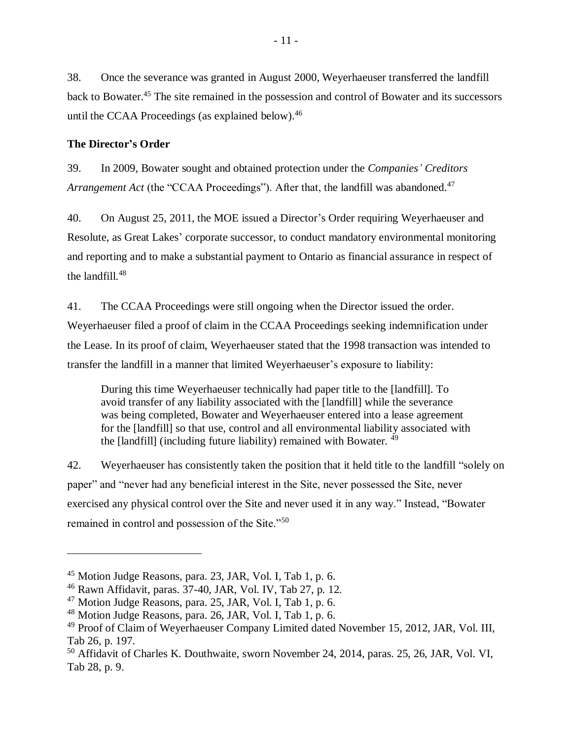38. Once the severance was granted in August 2000, Weyerhaeuser transferred the landfill back to Bowater.<sup>45</sup> The site remained in the possession and control of Bowater and its successors until the CCAA Proceedings (as explained below). 46

### <span id="page-14-0"></span>**The Director's Order**

39. In 2009, Bowater sought and obtained protection under the *Companies' Creditors* Arrangement Act (the "CCAA Proceedings"). After that, the landfill was abandoned.<sup>47</sup>

40. On August 25, 2011, the MOE issued a Director's Order requiring Weyerhaeuser and Resolute, as Great Lakes' corporate successor, to conduct mandatory environmental monitoring and reporting and to make a substantial payment to Ontario as financial assurance in respect of the landfill.<sup>48</sup>

41. The CCAA Proceedings were still ongoing when the Director issued the order. Weyerhaeuser filed a proof of claim in the CCAA Proceedings seeking indemnification under the Lease. In its proof of claim, Weyerhaeuser stated that the 1998 transaction was intended to transfer the landfill in a manner that limited Weyerhaeuser's exposure to liability:

During this time Weyerhaeuser technically had paper title to the [landfill]. To avoid transfer of any liability associated with the [landfill] while the severance was being completed, Bowater and Weyerhaeuser entered into a lease agreement for the [landfill] so that use, control and all environmental liability associated with the [landfill] (including future liability) remained with Bowater.  $49$ 

42. Weyerhaeuser has consistently taken the position that it held title to the landfill "solely on paper" and "never had any beneficial interest in the Site, never possessed the Site, never exercised any physical control over the Site and never used it in any way." Instead, "Bowater remained in control and possession of the Site."<sup>50</sup>

<sup>45</sup> Motion Judge Reasons, para. 23, JAR, Vol. I, Tab 1, p. 6.

<sup>46</sup> Rawn Affidavit, paras. 37-40, JAR, Vol. IV, Tab 27, p. 12.

 $47$  Motion Judge Reasons, para. 25, JAR, Vol. I, Tab 1, p. 6.

<sup>48</sup> Motion Judge Reasons, para. 26, JAR, Vol. I, Tab 1, p. 6.

<sup>49</sup> Proof of Claim of Weyerhaeuser Company Limited dated November 15, 2012, JAR, Vol. III, Tab 26, p. 197.

<sup>50</sup> Affidavit of Charles K. Douthwaite, sworn November 24, 2014, paras. 25, 26, JAR, Vol. VI, Tab 28, p. 9.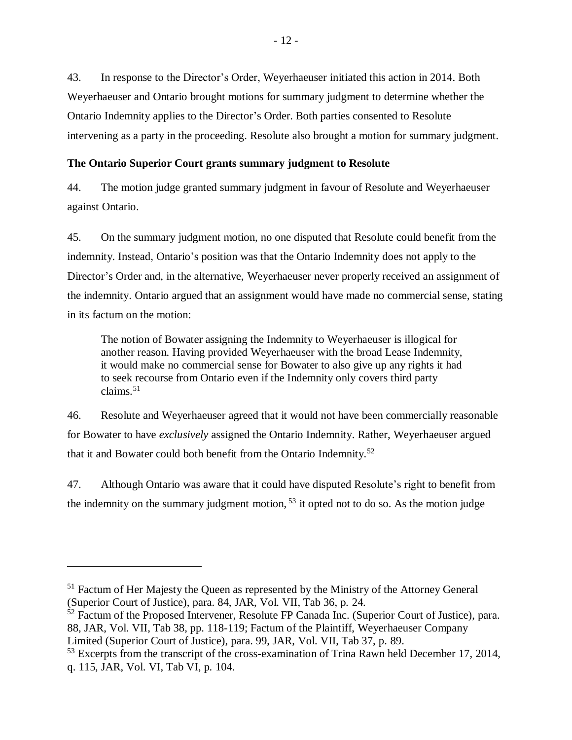43. In response to the Director's Order, Weyerhaeuser initiated this action in 2014. Both Weyerhaeuser and Ontario brought motions for summary judgment to determine whether the Ontario Indemnity applies to the Director's Order. Both parties consented to Resolute intervening as a party in the proceeding. Resolute also brought a motion for summary judgment.

# <span id="page-15-0"></span>**The Ontario Superior Court grants summary judgment to Resolute**

44. The motion judge granted summary judgment in favour of Resolute and Weyerhaeuser against Ontario.

45. On the summary judgment motion, no one disputed that Resolute could benefit from the indemnity. Instead, Ontario's position was that the Ontario Indemnity does not apply to the Director's Order and, in the alternative, Weyerhaeuser never properly received an assignment of the indemnity. Ontario argued that an assignment would have made no commercial sense, stating in its factum on the motion:

The notion of Bowater assigning the Indemnity to Weyerhaeuser is illogical for another reason. Having provided Weyerhaeuser with the broad Lease Indemnity, it would make no commercial sense for Bowater to also give up any rights it had to seek recourse from Ontario even if the Indemnity only covers third party claims. $51$ 

46. Resolute and Weyerhaeuser agreed that it would not have been commercially reasonable for Bowater to have *exclusively* assigned the Ontario Indemnity. Rather, Weyerhaeuser argued that it and Bowater could both benefit from the Ontario Indemnity.<sup>52</sup>

47. Although Ontario was aware that it could have disputed Resolute's right to benefit from the indemnity on the summary judgment motion,  $53$  it opted not to do so. As the motion judge

<sup>&</sup>lt;sup>51</sup> Factum of Her Majesty the Queen as represented by the Ministry of the Attorney General (Superior Court of Justice), para. 84, JAR, Vol. VII, Tab 36, p. 24.

<sup>&</sup>lt;sup>52</sup> Factum of the Proposed Intervener, Resolute FP Canada Inc. (Superior Court of Justice), para. 88, JAR, Vol. VII, Tab 38, pp. 118-119; Factum of the Plaintiff, Weyerhaeuser Company Limited (Superior Court of Justice), para. 99, JAR, Vol. VII, Tab 37, p. 89.

<sup>&</sup>lt;sup>53</sup> Excerpts from the transcript of the cross-examination of Trina Rawn held December 17, 2014, q. 115, JAR, Vol. VI, Tab VI, p. 104.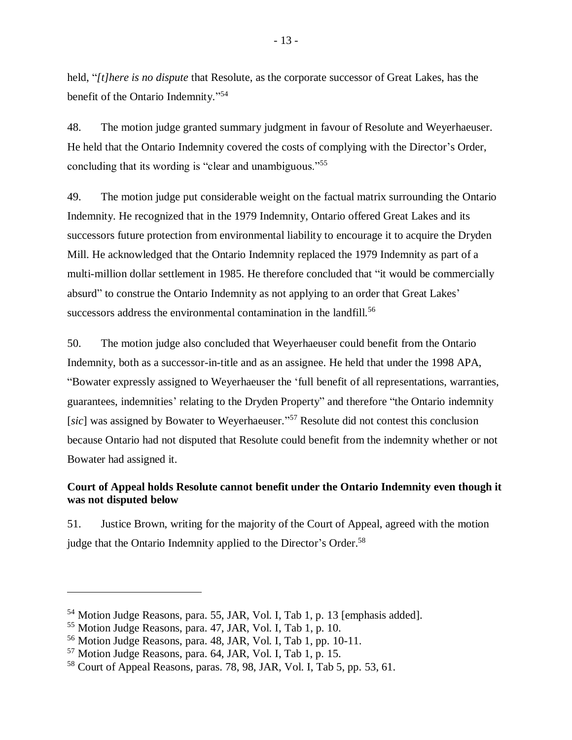held, "*[t]here is no dispute* that Resolute, as the corporate successor of Great Lakes, has the benefit of the Ontario Indemnity."<sup>54</sup>

48. The motion judge granted summary judgment in favour of Resolute and Weyerhaeuser. He held that the Ontario Indemnity covered the costs of complying with the Director's Order, concluding that its wording is "clear and unambiguous."<sup>55</sup>

49. The motion judge put considerable weight on the factual matrix surrounding the Ontario Indemnity. He recognized that in the 1979 Indemnity, Ontario offered Great Lakes and its successors future protection from environmental liability to encourage it to acquire the Dryden Mill. He acknowledged that the Ontario Indemnity replaced the 1979 Indemnity as part of a multi-million dollar settlement in 1985. He therefore concluded that "it would be commercially absurd" to construe the Ontario Indemnity as not applying to an order that Great Lakes' successors address the environmental contamination in the landfill.<sup>56</sup>

50. The motion judge also concluded that Weyerhaeuser could benefit from the Ontario Indemnity, both as a successor-in-title and as an assignee. He held that under the 1998 APA, "Bowater expressly assigned to Weyerhaeuser the 'full benefit of all representations, warranties, guarantees, indemnities' relating to the Dryden Property" and therefore "the Ontario indemnity [sic] was assigned by Bowater to Weyerhaeuser."<sup>57</sup> Resolute did not contest this conclusion because Ontario had not disputed that Resolute could benefit from the indemnity whether or not Bowater had assigned it.

# <span id="page-16-0"></span>**Court of Appeal holds Resolute cannot benefit under the Ontario Indemnity even though it was not disputed below**

51. Justice Brown, writing for the majority of the Court of Appeal, agreed with the motion judge that the Ontario Indemnity applied to the Director's Order.<sup>58</sup>

<sup>54</sup> Motion Judge Reasons, para. 55, JAR, Vol. I, Tab 1, p. 13 [emphasis added].

<sup>55</sup> Motion Judge Reasons, para. 47, JAR, Vol. I, Tab 1, p. 10.

<sup>56</sup> Motion Judge Reasons, para. 48, JAR, Vol. I, Tab 1, pp. 10-11.

<sup>57</sup> Motion Judge Reasons, para. 64, JAR, Vol. I, Tab 1, p. 15.

<sup>58</sup> Court of Appeal Reasons, paras. 78, 98, JAR, Vol. I, Tab 5, pp. 53, 61.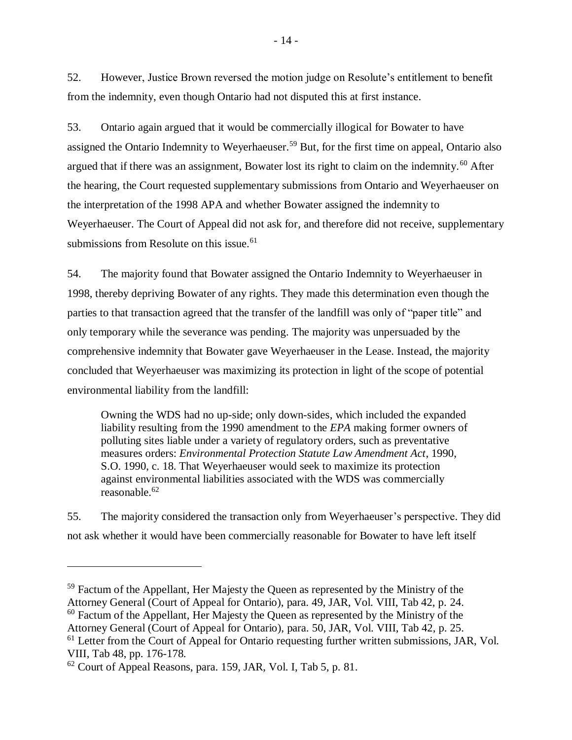52. However, Justice Brown reversed the motion judge on Resolute's entitlement to benefit from the indemnity, even though Ontario had not disputed this at first instance.

53. Ontario again argued that it would be commercially illogical for Bowater to have assigned the Ontario Indemnity to Weyerhaeuser.<sup>59</sup> But, for the first time on appeal, Ontario also argued that if there was an assignment, Bowater lost its right to claim on the indemnity.<sup>60</sup> After the hearing, the Court requested supplementary submissions from Ontario and Weyerhaeuser on the interpretation of the 1998 APA and whether Bowater assigned the indemnity to Weyerhaeuser. The Court of Appeal did not ask for, and therefore did not receive, supplementary submissions from Resolute on this issue.<sup>61</sup>

54. The majority found that Bowater assigned the Ontario Indemnity to Weyerhaeuser in 1998, thereby depriving Bowater of any rights. They made this determination even though the parties to that transaction agreed that the transfer of the landfill was only of "paper title" and only temporary while the severance was pending. The majority was unpersuaded by the comprehensive indemnity that Bowater gave Weyerhaeuser in the Lease. Instead, the majority concluded that Weyerhaeuser was maximizing its protection in light of the scope of potential environmental liability from the landfill:

Owning the WDS had no up-side; only down-sides, which included the expanded liability resulting from the 1990 amendment to the *EPA* making former owners of polluting sites liable under a variety of regulatory orders, such as preventative measures orders: *Environmental Protection Statute Law Amendment Act*, 1990, S.O. 1990, c. 18. That Weyerhaeuser would seek to maximize its protection against environmental liabilities associated with the WDS was commercially reasonable.<sup>62</sup>

55. The majority considered the transaction only from Weyerhaeuser's perspective. They did not ask whether it would have been commercially reasonable for Bowater to have left itself

<sup>&</sup>lt;sup>59</sup> Factum of the Appellant, Her Majesty the Queen as represented by the Ministry of the Attorney General (Court of Appeal for Ontario), para. 49, JAR, Vol. VIII, Tab 42, p. 24.  $60$  Factum of the Appellant, Her Majesty the Queen as represented by the Ministry of the

Attorney General (Court of Appeal for Ontario), para. 50, JAR, Vol. VIII, Tab 42, p. 25.

<sup>&</sup>lt;sup>61</sup> Letter from the Court of Appeal for Ontario requesting further written submissions, JAR, Vol. VIII, Tab 48, pp. 176-178.

<sup>62</sup> Court of Appeal Reasons, para. 159, JAR, Vol. I, Tab 5, p. 81.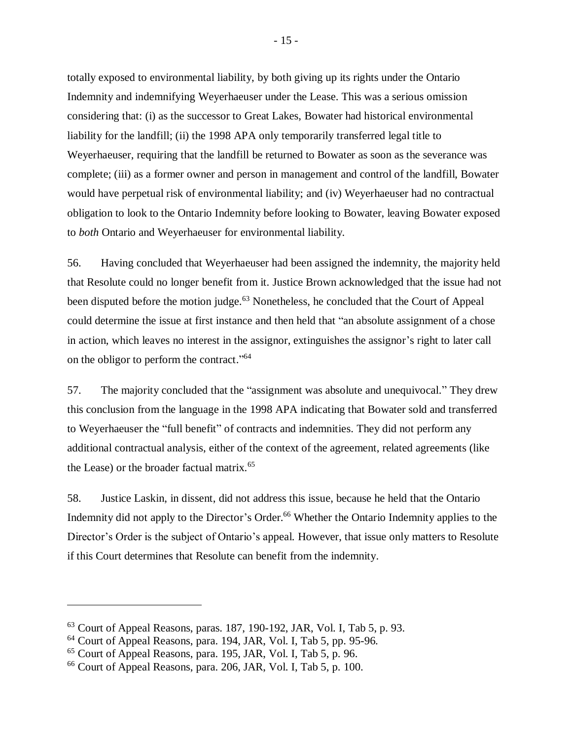totally exposed to environmental liability, by both giving up its rights under the Ontario Indemnity and indemnifying Weyerhaeuser under the Lease. This was a serious omission considering that: (i) as the successor to Great Lakes, Bowater had historical environmental liability for the landfill; (ii) the 1998 APA only temporarily transferred legal title to Weyerhaeuser, requiring that the landfill be returned to Bowater as soon as the severance was complete; (iii) as a former owner and person in management and control of the landfill, Bowater would have perpetual risk of environmental liability; and (iv) Weyerhaeuser had no contractual obligation to look to the Ontario Indemnity before looking to Bowater, leaving Bowater exposed to *both* Ontario and Weyerhaeuser for environmental liability.

56. Having concluded that Weyerhaeuser had been assigned the indemnity, the majority held that Resolute could no longer benefit from it. Justice Brown acknowledged that the issue had not been disputed before the motion judge.<sup>63</sup> Nonetheless, he concluded that the Court of Appeal could determine the issue at first instance and then held that "an absolute assignment of a chose in action, which leaves no interest in the assignor, extinguishes the assignor's right to later call on the obligor to perform the contract."<sup>64</sup>

57. The majority concluded that the "assignment was absolute and unequivocal." They drew this conclusion from the language in the 1998 APA indicating that Bowater sold and transferred to Weyerhaeuser the "full benefit" of contracts and indemnities. They did not perform any additional contractual analysis, either of the context of the agreement, related agreements (like the Lease) or the broader factual matrix. 65

58. Justice Laskin, in dissent, did not address this issue, because he held that the Ontario Indemnity did not apply to the Director's Order.<sup>66</sup> Whether the Ontario Indemnity applies to the Director's Order is the subject of Ontario's appeal. However, that issue only matters to Resolute if this Court determines that Resolute can benefit from the indemnity.

 $63$  Court of Appeal Reasons, paras. 187, 190-192, JAR, Vol. I, Tab 5, p. 93.

<sup>64</sup> Court of Appeal Reasons, para. 194, JAR, Vol. I, Tab 5, pp. 95-96.

<sup>65</sup> Court of Appeal Reasons, para. 195, JAR, Vol. I, Tab 5, p. 96.

<sup>66</sup> Court of Appeal Reasons, para. 206, JAR, Vol. I, Tab 5, p. 100.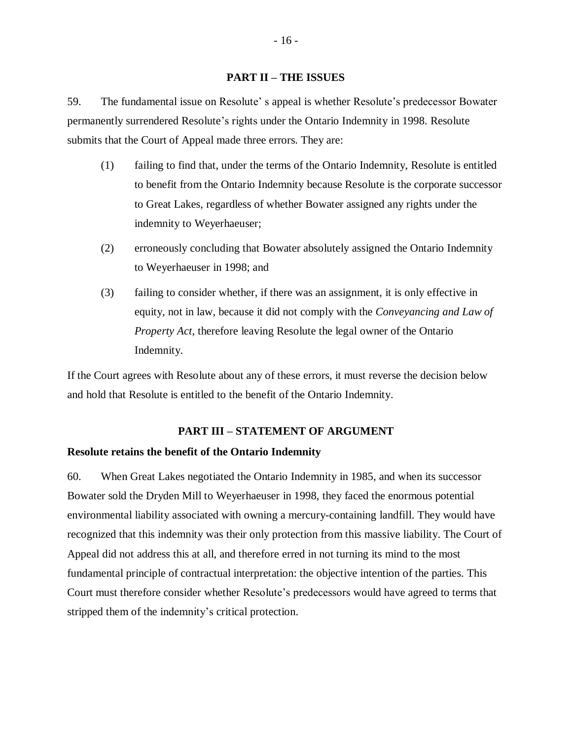#### **PART II – THE ISSUES**

<span id="page-19-0"></span>59. The fundamental issue on Resolute' s appeal is whether Resolute's predecessor Bowater permanently surrendered Resolute's rights under the Ontario Indemnity in 1998. Resolute submits that the Court of Appeal made three errors. They are:

- (1) failing to find that, under the terms of the Ontario Indemnity, Resolute is entitled to benefit from the Ontario Indemnity because Resolute is the corporate successor to Great Lakes, regardless of whether Bowater assigned any rights under the indemnity to Weyerhaeuser;
- (2) erroneously concluding that Bowater absolutely assigned the Ontario Indemnity to Weyerhaeuser in 1998; and
- (3) failing to consider whether, if there was an assignment, it is only effective in equity, not in law, because it did not comply with the *Conveyancing and Law of Property Act*, therefore leaving Resolute the legal owner of the Ontario Indemnity.

If the Court agrees with Resolute about any of these errors, it must reverse the decision below and hold that Resolute is entitled to the benefit of the Ontario Indemnity.

# **PART III – STATEMENT OF ARGUMENT**

#### <span id="page-19-2"></span><span id="page-19-1"></span>**Resolute retains the benefit of the Ontario Indemnity**

60. When Great Lakes negotiated the Ontario Indemnity in 1985, and when its successor Bowater sold the Dryden Mill to Weyerhaeuser in 1998, they faced the enormous potential environmental liability associated with owning a mercury-containing landfill. They would have recognized that this indemnity was their only protection from this massive liability. The Court of Appeal did not address this at all, and therefore erred in not turning its mind to the most fundamental principle of contractual interpretation: the objective intention of the parties. This Court must therefore consider whether Resolute's predecessors would have agreed to terms that stripped them of the indemnity's critical protection.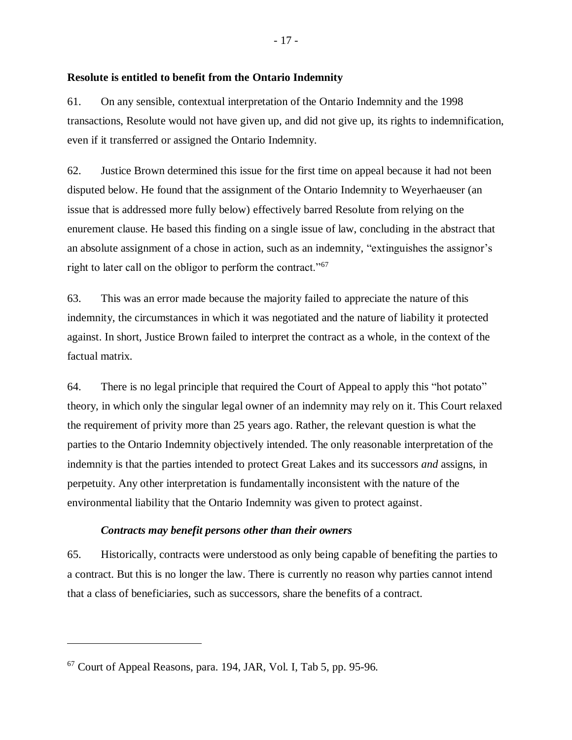### <span id="page-20-0"></span>**Resolute is entitled to benefit from the Ontario Indemnity**

61. On any sensible, contextual interpretation of the Ontario Indemnity and the 1998 transactions, Resolute would not have given up, and did not give up, its rights to indemnification, even if it transferred or assigned the Ontario Indemnity.

62. Justice Brown determined this issue for the first time on appeal because it had not been disputed below. He found that the assignment of the Ontario Indemnity to Weyerhaeuser (an issue that is addressed more fully below) effectively barred Resolute from relying on the enurement clause. He based this finding on a single issue of law, concluding in the abstract that an absolute assignment of a chose in action, such as an indemnity, "extinguishes the assignor's right to later call on the obligor to perform the contract."<sup>67</sup>

63. This was an error made because the majority failed to appreciate the nature of this indemnity, the circumstances in which it was negotiated and the nature of liability it protected against. In short, Justice Brown failed to interpret the contract as a whole, in the context of the factual matrix.

64. There is no legal principle that required the Court of Appeal to apply this "hot potato" theory, in which only the singular legal owner of an indemnity may rely on it. This Court relaxed the requirement of privity more than 25 years ago. Rather, the relevant question is what the parties to the Ontario Indemnity objectively intended. The only reasonable interpretation of the indemnity is that the parties intended to protect Great Lakes and its successors *and* assigns, in perpetuity. Any other interpretation is fundamentally inconsistent with the nature of the environmental liability that the Ontario Indemnity was given to protect against.

### *Contracts may benefit persons other than their owners*

<span id="page-20-1"></span>65. Historically, contracts were understood as only being capable of benefiting the parties to a contract. But this is no longer the law. There is currently no reason why parties cannot intend that a class of beneficiaries, such as successors, share the benefits of a contract.

<sup>67</sup> Court of Appeal Reasons, para. 194, JAR, Vol. I, Tab 5, pp. 95-96.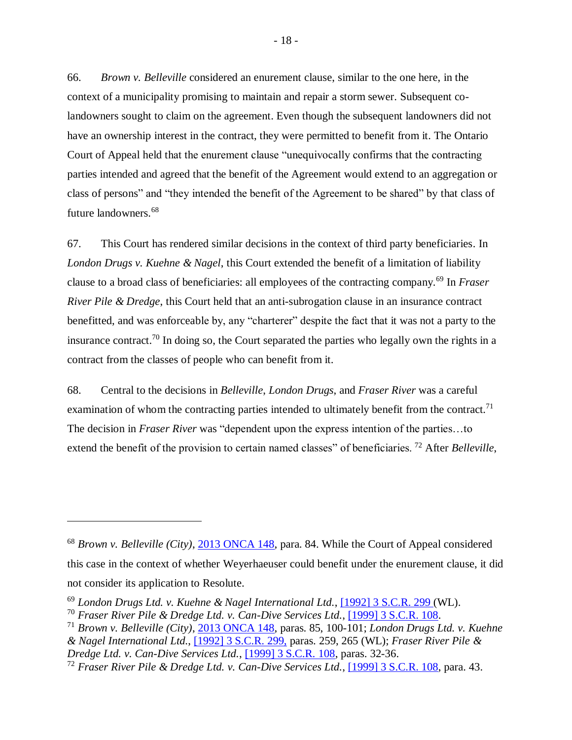66. *Brown v. Belleville* considered an enurement clause, similar to the one here, in the context of a municipality promising to maintain and repair a storm sewer. Subsequent colandowners sought to claim on the agreement. Even though the subsequent landowners did not have an ownership interest in the contract, they were permitted to benefit from it. The Ontario Court of Appeal held that the enurement clause "unequivocally confirms that the contracting parties intended and agreed that the benefit of the Agreement would extend to an aggregation or class of persons" and "they intended the benefit of the Agreement to be shared" by that class of future landowners.<sup>68</sup>

67. This Court has rendered similar decisions in the context of third party beneficiaries. In *London Drugs v. Kuehne & Nagel*, this Court extended the benefit of a limitation of liability clause to a broad class of beneficiaries: all employees of the contracting company.<sup>69</sup> In *Fraser River Pile & Dredge*, this Court held that an anti-subrogation clause in an insurance contract benefitted, and was enforceable by, any "charterer" despite the fact that it was not a party to the insurance contract.<sup>70</sup> In doing so, the Court separated the parties who legally own the rights in a contract from the classes of people who can benefit from it.

68. Central to the decisions in *Belleville*, *London Drugs*, and *Fraser River* was a careful examination of whom the contracting parties intended to ultimately benefit from the contract.<sup>71</sup> The decision in *Fraser River* was "dependent upon the express intention of the parties…to extend the benefit of the provision to certain named classes" of beneficiaries. <sup>72</sup> After *Belleville*,

<sup>68</sup> *Brown v. Belleville (City)*, [2013 ONCA 148,](http://canlii.ca/t/fwgkh) para. 84. While the Court of Appeal considered this case in the context of whether Weyerhaeuser could benefit under the enurement clause, it did not consider its application to Resolute.

<sup>69</sup> *London Drugs Ltd. v. Kuehne & Nagel International Ltd.*, [\[1992\] 3 S.C.R. 299](https://nextcanada.westlaw.com/Document/I10b717cfa64263f0e0440003ba0d6c6d/View/FullText.html?originationContext=typeAhead&transitionType=Default&contextData=%28sc.Default%29) (WL).

<sup>70</sup> *Fraser River Pile & Dredge Ltd. v. Can-Dive Services Ltd.*, [\[1999\] 3 S.C.R. 108.](http://canlii.ca/t/1fqjz)

<sup>71</sup> *Brown v. Belleville (City)*, [2013 ONCA 148,](http://canlii.ca/t/fwgkh) paras. 85, 100-101; *London Drugs Ltd. v. Kuehne & Nagel International Ltd.*, [\[1992\] 3 S.C.R. 299,](https://nextcanada.westlaw.com/Document/I10b717cfa64263f0e0440003ba0d6c6d/View/FullText.html?originationContext=typeAhead&transitionType=Default&contextData=%28sc.Default%29) paras. 259, 265 (WL); *Fraser River Pile & Dredge Ltd. v. Can-Dive Services Ltd.*, [\[1999\] 3 S.C.R. 108,](http://canlii.ca/t/1fqjz) paras. 32-36.

<sup>72</sup> *Fraser River Pile & Dredge Ltd. v. Can-Dive Services Ltd.*, [\[1999\] 3 S.C.R. 108,](http://canlii.ca/t/1fqjz) para. 43.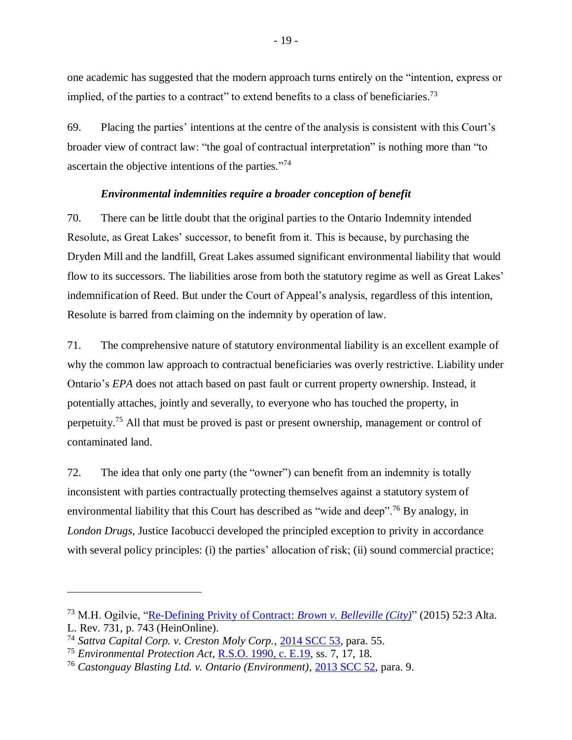one academic has suggested that the modern approach turns entirely on the "intention, express or implied, of the parties to a contract" to extend benefits to a class of beneficiaries.<sup>73</sup>

69. Placing the parties' intentions at the centre of the analysis is consistent with this Court's broader view of contract law: "the goal of contractual interpretation" is nothing more than "to ascertain the objective intentions of the parties."<sup>74</sup>

### *Environmental indemnities require a broader conception of benefit*

<span id="page-22-0"></span>70. There can be little doubt that the original parties to the Ontario Indemnity intended Resolute, as Great Lakes' successor, to benefit from it. This is because, by purchasing the Dryden Mill and the landfill, Great Lakes assumed significant environmental liability that would flow to its successors. The liabilities arose from both the statutory regime as well as Great Lakes' indemnification of Reed. But under the Court of Appeal's analysis, regardless of this intention, Resolute is barred from claiming on the indemnity by operation of law.

71. The comprehensive nature of statutory environmental liability is an excellent example of why the common law approach to contractual beneficiaries was overly restrictive. Liability under Ontario's *EPA* does not attach based on past fault or current property ownership. Instead, it potentially attaches, jointly and severally, to everyone who has touched the property, in perpetuity.<sup>75</sup> All that must be proved is past or present ownership, management or control of contaminated land.

72. The idea that only one party (the "owner") can benefit from an indemnity is totally inconsistent with parties contractually protecting themselves against a statutory system of environmental liability that this Court has described as "wide and deep".<sup>76</sup> By analogy, in *London Drugs*, Justice Iacobucci developed the principled exception to privity in accordance with several policy principles: (i) the parties' allocation of risk; (ii) sound commercial practice;

<sup>73</sup> M.H. Ogilvie, ["Re-Defining Privity of Contract:](https://heinonline.org/HOL/P?h=hein.journals/alblr52&i=767) *Brown v. Belleville (City)*" (2015) 52:3 Alta. L. Rev. 731, p. 743 (HeinOnline).

<sup>74</sup> *Sattva Capital Corp. v. Creston Moly Corp.*, [2014 SCC 53,](http://canlii.ca/t/g88q1) para. 55.

<sup>75</sup> *Environmental Protection Act*, [R.S.O. 1990, c. E.19,](https://www.ontario.ca/laws/statute/90e19) ss. 7, 17, 18.

<sup>76</sup> *Castonguay Blasting Ltd. v. Ontario (Environment)*[, 2013 SCC 52,](http://canlii.ca/t/g1038) para. 9.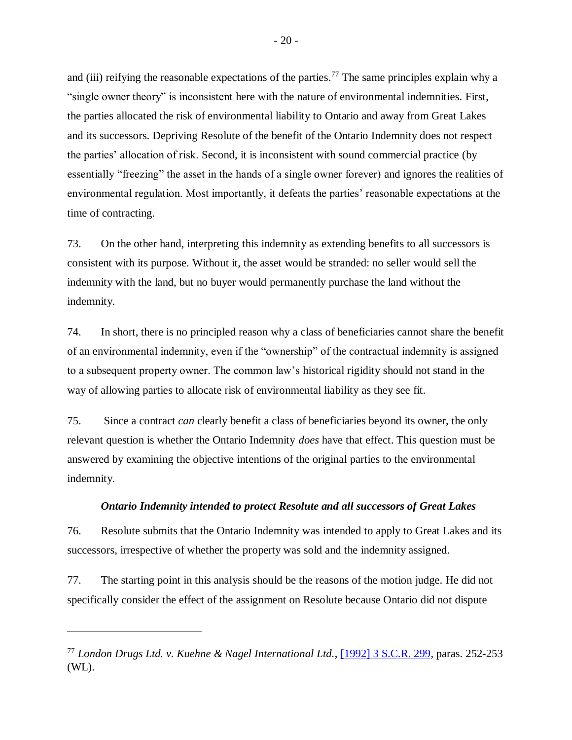and (iii) reifying the reasonable expectations of the parties.<sup>77</sup> The same principles explain why a "single owner theory" is inconsistent here with the nature of environmental indemnities. First, the parties allocated the risk of environmental liability to Ontario and away from Great Lakes and its successors. Depriving Resolute of the benefit of the Ontario Indemnity does not respect the parties' allocation of risk. Second, it is inconsistent with sound commercial practice (by essentially "freezing" the asset in the hands of a single owner forever) and ignores the realities of environmental regulation. Most importantly, it defeats the parties' reasonable expectations at the time of contracting.

73. On the other hand, interpreting this indemnity as extending benefits to all successors is consistent with its purpose. Without it, the asset would be stranded: no seller would sell the indemnity with the land, but no buyer would permanently purchase the land without the indemnity.

74. In short, there is no principled reason why a class of beneficiaries cannot share the benefit of an environmental indemnity, even if the "ownership" of the contractual indemnity is assigned to a subsequent property owner. The common law's historical rigidity should not stand in the way of allowing parties to allocate risk of environmental liability as they see fit.

75. Since a contract *can* clearly benefit a class of beneficiaries beyond its owner, the only relevant question is whether the Ontario Indemnity *does* have that effect. This question must be answered by examining the objective intentions of the original parties to the environmental indemnity.

### *Ontario Indemnity intended to protect Resolute and all successors of Great Lakes*

<span id="page-23-0"></span>76. Resolute submits that the Ontario Indemnity was intended to apply to Great Lakes and its successors, irrespective of whether the property was sold and the indemnity assigned.

77. The starting point in this analysis should be the reasons of the motion judge. He did not specifically consider the effect of the assignment on Resolute because Ontario did not dispute

<sup>77</sup> *London Drugs Ltd. v. Kuehne & Nagel International Ltd.*, [\[1992\] 3 S.C.R. 299,](https://nextcanada.westlaw.com/Document/I10b717cfa64263f0e0440003ba0d6c6d/View/FullText.html?originationContext=typeAhead&transitionType=Default&contextData=%28sc.Default%29) paras. 252-253 (WL).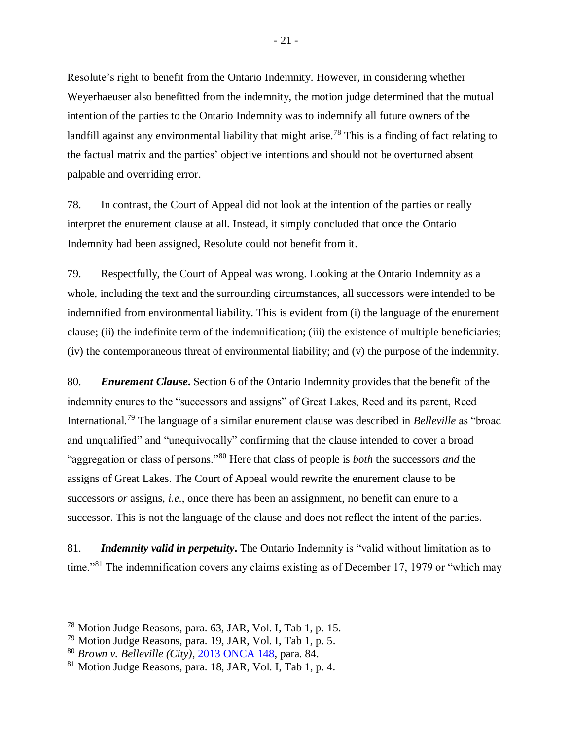Resolute's right to benefit from the Ontario Indemnity. However, in considering whether Weyerhaeuser also benefitted from the indemnity, the motion judge determined that the mutual intention of the parties to the Ontario Indemnity was to indemnify all future owners of the landfill against any environmental liability that might arise.<sup>78</sup> This is a finding of fact relating to the factual matrix and the parties' objective intentions and should not be overturned absent palpable and overriding error.

78. In contrast, the Court of Appeal did not look at the intention of the parties or really interpret the enurement clause at all. Instead, it simply concluded that once the Ontario Indemnity had been assigned, Resolute could not benefit from it.

79. Respectfully, the Court of Appeal was wrong. Looking at the Ontario Indemnity as a whole, including the text and the surrounding circumstances, all successors were intended to be indemnified from environmental liability. This is evident from (i) the language of the enurement clause; (ii) the indefinite term of the indemnification; (iii) the existence of multiple beneficiaries; (iv) the contemporaneous threat of environmental liability; and (v) the purpose of the indemnity.

80. *Enurement Clause***.** Section 6 of the Ontario Indemnity provides that the benefit of the indemnity enures to the "successors and assigns" of Great Lakes, Reed and its parent, Reed International.<sup>79</sup> The language of a similar enurement clause was described in *Belleville* as "broad and unqualified" and "unequivocally" confirming that the clause intended to cover a broad "aggregation or class of persons."<sup>80</sup> Here that class of people is *both* the successors *and* the assigns of Great Lakes. The Court of Appeal would rewrite the enurement clause to be successors *or* assigns, *i.e.*, once there has been an assignment, no benefit can enure to a successor. This is not the language of the clause and does not reflect the intent of the parties.

81. *Indemnity valid in perpetuity***.** The Ontario Indemnity is "valid without limitation as to time."<sup>81</sup> The indemnification covers any claims existing as of December 17, 1979 or "which may

<sup>78</sup> Motion Judge Reasons, para. 63, JAR, Vol. I, Tab 1, p. 15.

<sup>79</sup> Motion Judge Reasons, para. 19, JAR, Vol. I, Tab 1, p. 5.

<sup>80</sup> *Brown v. Belleville (City)*, [2013 ONCA 148,](http://canlii.ca/t/fwgkh) para. 84.

 $81$  Motion Judge Reasons, para. 18, JAR, Vol. I, Tab 1, p. 4.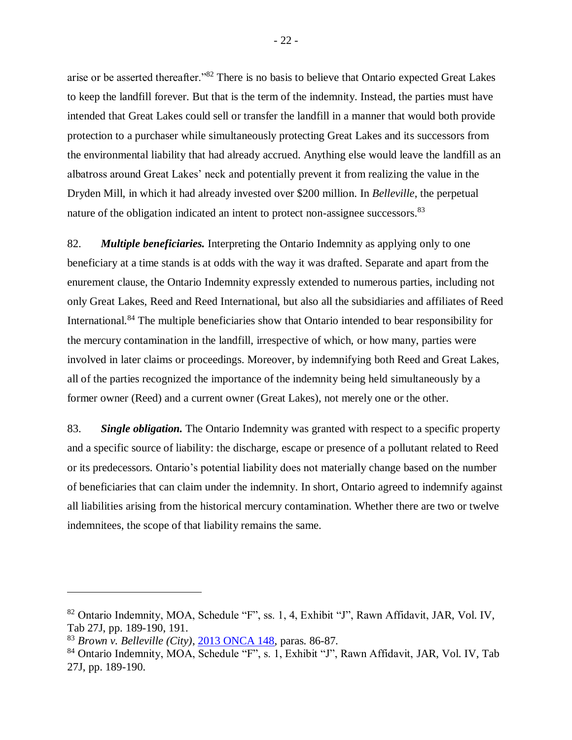arise or be asserted thereafter."<sup>82</sup> There is no basis to believe that Ontario expected Great Lakes to keep the landfill forever. But that is the term of the indemnity. Instead, the parties must have intended that Great Lakes could sell or transfer the landfill in a manner that would both provide protection to a purchaser while simultaneously protecting Great Lakes and its successors from the environmental liability that had already accrued. Anything else would leave the landfill as an albatross around Great Lakes' neck and potentially prevent it from realizing the value in the Dryden Mill, in which it had already invested over \$200 million. In *Belleville*, the perpetual nature of the obligation indicated an intent to protect non-assignee successors.<sup>83</sup>

82. *Multiple beneficiaries.* Interpreting the Ontario Indemnity as applying only to one beneficiary at a time stands is at odds with the way it was drafted. Separate and apart from the enurement clause, the Ontario Indemnity expressly extended to numerous parties, including not only Great Lakes, Reed and Reed International, but also all the subsidiaries and affiliates of Reed International.<sup>84</sup> The multiple beneficiaries show that Ontario intended to bear responsibility for the mercury contamination in the landfill, irrespective of which, or how many, parties were involved in later claims or proceedings. Moreover, by indemnifying both Reed and Great Lakes, all of the parties recognized the importance of the indemnity being held simultaneously by a former owner (Reed) and a current owner (Great Lakes), not merely one or the other.

83. *Single obligation.* The Ontario Indemnity was granted with respect to a specific property and a specific source of liability: the discharge, escape or presence of a pollutant related to Reed or its predecessors. Ontario's potential liability does not materially change based on the number of beneficiaries that can claim under the indemnity. In short, Ontario agreed to indemnify against all liabilities arising from the historical mercury contamination. Whether there are two or twelve indemnitees, the scope of that liability remains the same.

<sup>82</sup> Ontario Indemnity, MOA, Schedule "F", ss. 1, 4, Exhibit "J", Rawn Affidavit, JAR, Vol. IV, Tab 27J, pp. 189-190, 191.

<sup>83</sup> *Brown v. Belleville (City)*, [2013 ONCA 148,](http://canlii.ca/t/fwgkh) paras. 86-87.

<sup>&</sup>lt;sup>84</sup> Ontario Indemnity, MOA, Schedule "F", s. 1, Exhibit "J", Rawn Affidavit, JAR, Vol. IV, Tab 27J, pp. 189-190.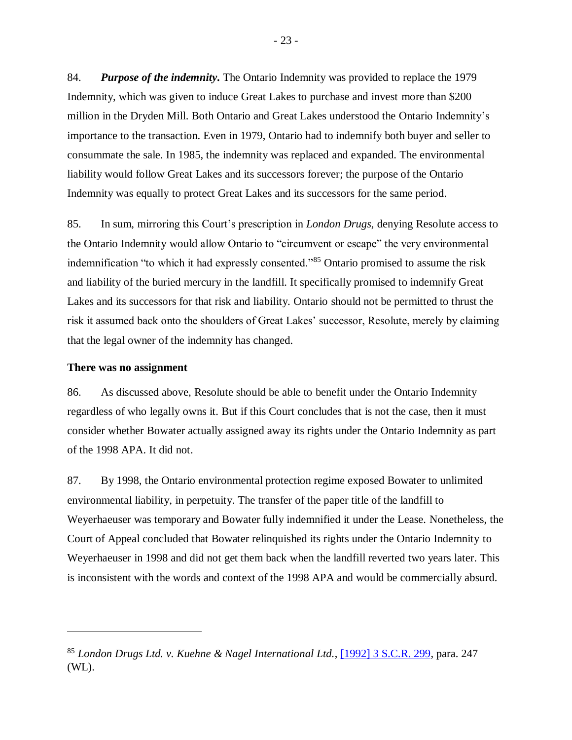84. *Purpose of the indemnity***.** The Ontario Indemnity was provided to replace the 1979 Indemnity, which was given to induce Great Lakes to purchase and invest more than \$200 million in the Dryden Mill. Both Ontario and Great Lakes understood the Ontario Indemnity's importance to the transaction. Even in 1979, Ontario had to indemnify both buyer and seller to consummate the sale. In 1985, the indemnity was replaced and expanded. The environmental liability would follow Great Lakes and its successors forever; the purpose of the Ontario Indemnity was equally to protect Great Lakes and its successors for the same period.

85. In sum, mirroring this Court's prescription in *London Drugs*, denying Resolute access to the Ontario Indemnity would allow Ontario to "circumvent or escape" the very environmental indemnification "to which it had expressly consented."<sup>85</sup> Ontario promised to assume the risk and liability of the buried mercury in the landfill. It specifically promised to indemnify Great Lakes and its successors for that risk and liability. Ontario should not be permitted to thrust the risk it assumed back onto the shoulders of Great Lakes' successor, Resolute, merely by claiming that the legal owner of the indemnity has changed.

#### <span id="page-26-0"></span>**There was no assignment**

86. As discussed above, Resolute should be able to benefit under the Ontario Indemnity regardless of who legally owns it. But if this Court concludes that is not the case, then it must consider whether Bowater actually assigned away its rights under the Ontario Indemnity as part of the 1998 APA. It did not.

87. By 1998, the Ontario environmental protection regime exposed Bowater to unlimited environmental liability, in perpetuity. The transfer of the paper title of the landfill to Weyerhaeuser was temporary and Bowater fully indemnified it under the Lease. Nonetheless, the Court of Appeal concluded that Bowater relinquished its rights under the Ontario Indemnity to Weyerhaeuser in 1998 and did not get them back when the landfill reverted two years later. This is inconsistent with the words and context of the 1998 APA and would be commercially absurd.

<sup>85</sup> *London Drugs Ltd. v. Kuehne & Nagel International Ltd.*, [\[1992\] 3 S.C.R. 299,](https://nextcanada.westlaw.com/Document/I10b717cfa64263f0e0440003ba0d6c6d/View/FullText.html?originationContext=typeAhead&transitionType=Default&contextData=%28sc.Default%29) para. 247 (WL).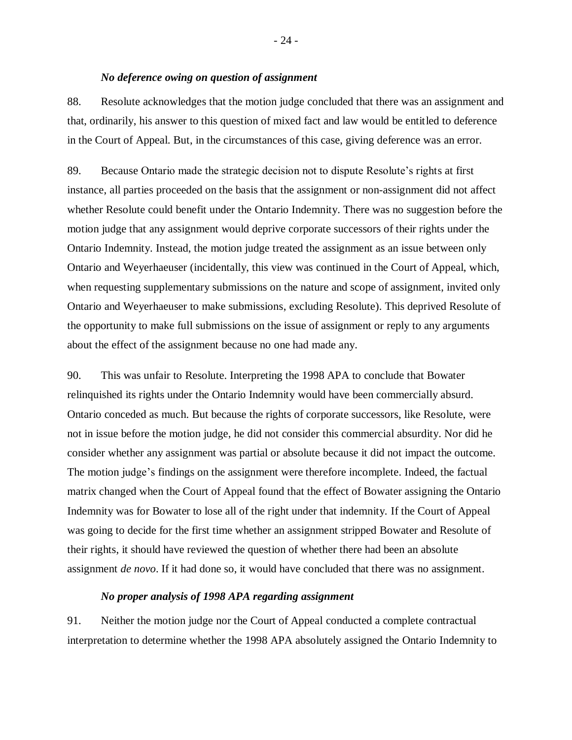### *No deference owing on question of assignment*

<span id="page-27-0"></span>88. Resolute acknowledges that the motion judge concluded that there was an assignment and that, ordinarily, his answer to this question of mixed fact and law would be entitled to deference in the Court of Appeal. But, in the circumstances of this case, giving deference was an error.

89. Because Ontario made the strategic decision not to dispute Resolute's rights at first instance, all parties proceeded on the basis that the assignment or non-assignment did not affect whether Resolute could benefit under the Ontario Indemnity. There was no suggestion before the motion judge that any assignment would deprive corporate successors of their rights under the Ontario Indemnity. Instead, the motion judge treated the assignment as an issue between only Ontario and Weyerhaeuser (incidentally, this view was continued in the Court of Appeal, which, when requesting supplementary submissions on the nature and scope of assignment, invited only Ontario and Weyerhaeuser to make submissions, excluding Resolute). This deprived Resolute of the opportunity to make full submissions on the issue of assignment or reply to any arguments about the effect of the assignment because no one had made any.

90. This was unfair to Resolute. Interpreting the 1998 APA to conclude that Bowater relinquished its rights under the Ontario Indemnity would have been commercially absurd. Ontario conceded as much. But because the rights of corporate successors, like Resolute, were not in issue before the motion judge, he did not consider this commercial absurdity. Nor did he consider whether any assignment was partial or absolute because it did not impact the outcome. The motion judge's findings on the assignment were therefore incomplete. Indeed, the factual matrix changed when the Court of Appeal found that the effect of Bowater assigning the Ontario Indemnity was for Bowater to lose all of the right under that indemnity. If the Court of Appeal was going to decide for the first time whether an assignment stripped Bowater and Resolute of their rights, it should have reviewed the question of whether there had been an absolute assignment *de novo*. If it had done so, it would have concluded that there was no assignment.

#### *No proper analysis of 1998 APA regarding assignment*

<span id="page-27-1"></span>91. Neither the motion judge nor the Court of Appeal conducted a complete contractual interpretation to determine whether the 1998 APA absolutely assigned the Ontario Indemnity to

- 24 -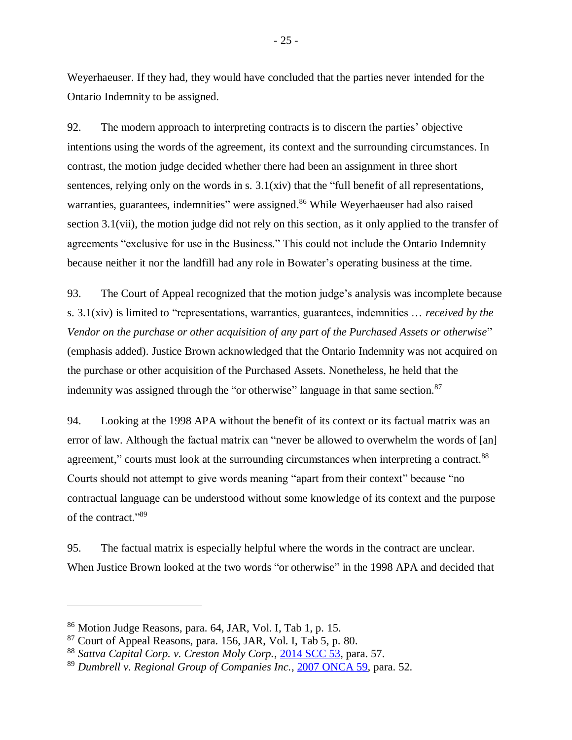Weyerhaeuser. If they had, they would have concluded that the parties never intended for the Ontario Indemnity to be assigned.

92. The modern approach to interpreting contracts is to discern the parties' objective intentions using the words of the agreement, its context and the surrounding circumstances. In contrast, the motion judge decided whether there had been an assignment in three short sentences, relying only on the words in s.  $3.1(xiv)$  that the "full benefit of all representations, warranties, guarantees, indemnities" were assigned.<sup>86</sup> While Weyerhaeuser had also raised section 3.1(vii), the motion judge did not rely on this section, as it only applied to the transfer of agreements "exclusive for use in the Business." This could not include the Ontario Indemnity because neither it nor the landfill had any role in Bowater's operating business at the time.

93. The Court of Appeal recognized that the motion judge's analysis was incomplete because s. 3.1(xiv) is limited to "representations, warranties, guarantees, indemnities … *received by the Vendor on the purchase or other acquisition of any part of the Purchased Assets or otherwise*" (emphasis added). Justice Brown acknowledged that the Ontario Indemnity was not acquired on the purchase or other acquisition of the Purchased Assets. Nonetheless, he held that the indemnity was assigned through the "or otherwise" language in that same section.<sup>87</sup>

94. Looking at the 1998 APA without the benefit of its context or its factual matrix was an error of law. Although the factual matrix can "never be allowed to overwhelm the words of [an] agreement," courts must look at the surrounding circumstances when interpreting a contract.<sup>88</sup> Courts should not attempt to give words meaning "apart from their context" because "no contractual language can be understood without some knowledge of its context and the purpose of the contract." 89

95. The factual matrix is especially helpful where the words in the contract are unclear. When Justice Brown looked at the two words "or otherwise" in the 1998 APA and decided that

<sup>86</sup> Motion Judge Reasons, para. 64, JAR, Vol. I, Tab 1, p. 15.

 $87$  Court of Appeal Reasons, para. 156, JAR, Vol. I, Tab 5, p. 80.

<sup>88</sup> *Sattva Capital Corp. v. Creston Moly Corp.*, [2014 SCC 53,](http://canlii.ca/t/g88q1) para. 57.

<sup>89</sup> *Dumbrell v. Regional Group of Companies Inc.*, [2007 ONCA 59,](http://canlii.ca/t/1qd9v) para. 52.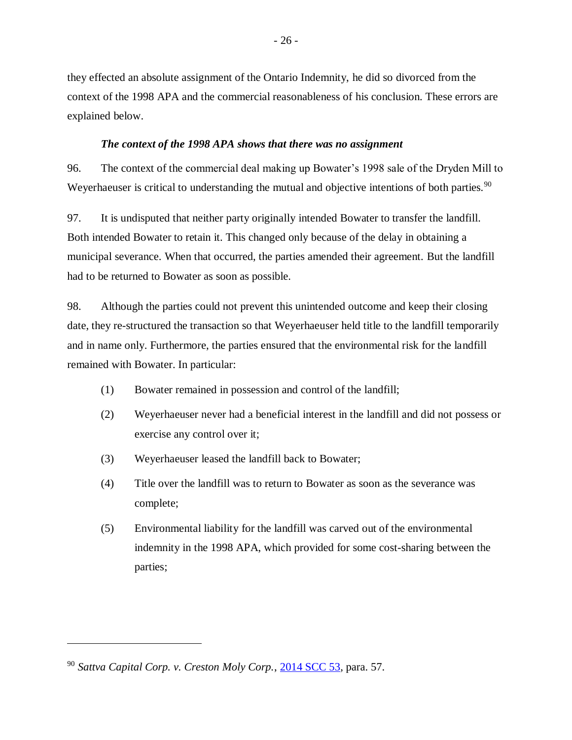they effected an absolute assignment of the Ontario Indemnity, he did so divorced from the context of the 1998 APA and the commercial reasonableness of his conclusion. These errors are explained below.

### *The context of the 1998 APA shows that there was no assignment*

<span id="page-29-0"></span>96. The context of the commercial deal making up Bowater's 1998 sale of the Dryden Mill to Weyerhaeuser is critical to understanding the mutual and objective intentions of both parties.<sup>90</sup>

97. It is undisputed that neither party originally intended Bowater to transfer the landfill. Both intended Bowater to retain it. This changed only because of the delay in obtaining a municipal severance. When that occurred, the parties amended their agreement. But the landfill had to be returned to Bowater as soon as possible.

98. Although the parties could not prevent this unintended outcome and keep their closing date, they re-structured the transaction so that Weyerhaeuser held title to the landfill temporarily and in name only. Furthermore, the parties ensured that the environmental risk for the landfill remained with Bowater. In particular:

- (1) Bowater remained in possession and control of the landfill;
- (2) Weyerhaeuser never had a beneficial interest in the landfill and did not possess or exercise any control over it;
- (3) Weyerhaeuser leased the landfill back to Bowater;
- (4) Title over the landfill was to return to Bowater as soon as the severance was complete;
- (5) Environmental liability for the landfill was carved out of the environmental indemnity in the 1998 APA, which provided for some cost-sharing between the parties;

<sup>90</sup> *Sattva Capital Corp. v. Creston Moly Corp.*, [2014 SCC 53,](http://canlii.ca/t/g88q1) para. 57.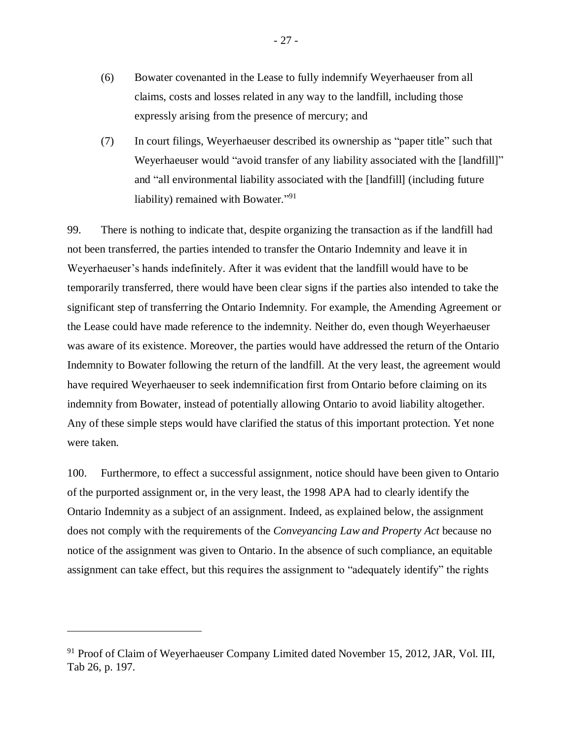- (6) Bowater covenanted in the Lease to fully indemnify Weyerhaeuser from all claims, costs and losses related in any way to the landfill, including those expressly arising from the presence of mercury; and
- (7) In court filings, Weyerhaeuser described its ownership as "paper title" such that Weyerhaeuser would "avoid transfer of any liability associated with the [landfill]" and "all environmental liability associated with the [landfill] (including future liability) remained with Bowater."<sup>91</sup>

99. There is nothing to indicate that, despite organizing the transaction as if the landfill had not been transferred, the parties intended to transfer the Ontario Indemnity and leave it in Weyerhaeuser's hands indefinitely. After it was evident that the landfill would have to be temporarily transferred, there would have been clear signs if the parties also intended to take the significant step of transferring the Ontario Indemnity. For example, the Amending Agreement or the Lease could have made reference to the indemnity. Neither do, even though Weyerhaeuser was aware of its existence. Moreover, the parties would have addressed the return of the Ontario Indemnity to Bowater following the return of the landfill. At the very least, the agreement would have required Weyerhaeuser to seek indemnification first from Ontario before claiming on its indemnity from Bowater, instead of potentially allowing Ontario to avoid liability altogether. Any of these simple steps would have clarified the status of this important protection. Yet none were taken.

100. Furthermore, to effect a successful assignment, notice should have been given to Ontario of the purported assignment or, in the very least, the 1998 APA had to clearly identify the Ontario Indemnity as a subject of an assignment. Indeed, as explained below, the assignment does not comply with the requirements of the *Conveyancing Law and Property Act* because no notice of the assignment was given to Ontario. In the absence of such compliance, an equitable assignment can take effect, but this requires the assignment to "adequately identify" the rights

<sup>&</sup>lt;sup>91</sup> Proof of Claim of Weyerhaeuser Company Limited dated November 15, 2012, JAR, Vol. III, Tab 26, p. 197.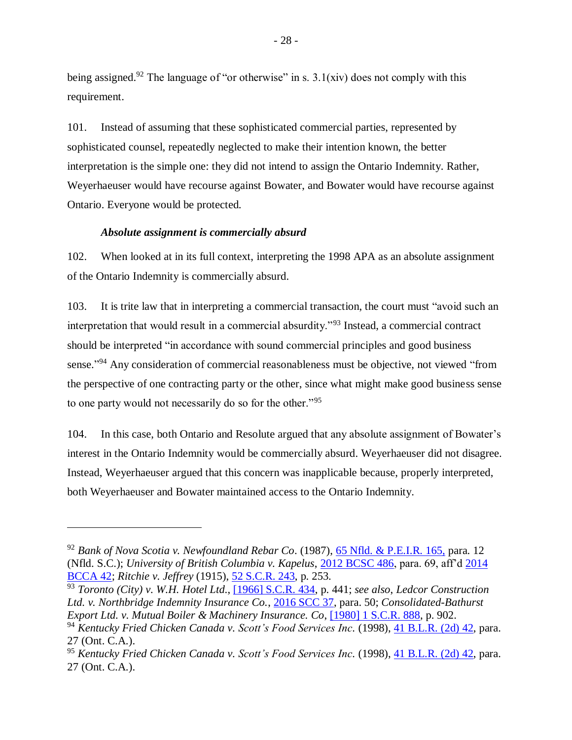being assigned.<sup>92</sup> The language of "or otherwise" in s.  $3.1(xiv)$  does not comply with this requirement.

101. Instead of assuming that these sophisticated commercial parties, represented by sophisticated counsel, repeatedly neglected to make their intention known, the better interpretation is the simple one: they did not intend to assign the Ontario Indemnity. Rather, Weyerhaeuser would have recourse against Bowater, and Bowater would have recourse against Ontario. Everyone would be protected.

### *Absolute assignment is commercially absurd*

<span id="page-31-0"></span>102. When looked at in its full context, interpreting the 1998 APA as an absolute assignment of the Ontario Indemnity is commercially absurd.

103. It is trite law that in interpreting a commercial transaction, the court must "avoid such an interpretation that would result in a commercial absurdity."<sup>93</sup> Instead, a commercial contract should be interpreted "in accordance with sound commercial principles and good business sense."<sup>94</sup> Any consideration of commercial reasonableness must be objective, not viewed "from the perspective of one contracting party or the other, since what might make good business sense to one party would not necessarily do so for the other."<sup>95</sup>

104. In this case, both Ontario and Resolute argued that any absolute assignment of Bowater's interest in the Ontario Indemnity would be commercially absurd. Weyerhaeuser did not disagree. Instead, Weyerhaeuser argued that this concern was inapplicable because, properly interpreted, both Weyerhaeuser and Bowater maintained access to the Ontario Indemnity.

<sup>92</sup> *Bank of Nova Scotia v. Newfoundland Rebar Co*. (1987), [65 Nfld. & P.E.I.R. 165,](http://canlii.ca/t/g8wnt) para. 12 (Nfld. S.C.); *University of British Columbia v. Kapelus*, [2012 BCSC 486,](http://canlii.ca/t/fqv37) para. 69, aff'd [2014](http://canlii.ca/t/g2xch)  [BCCA 42;](http://canlii.ca/t/g2xch) *Ritchie v. Jeffrey* (1915), [52 S.C.R. 243,](http://canlii.ca/t/2f2j4) p. 253.

<sup>93</sup> *Toronto (City) v. W.H. Hotel Ltd*., [\[1966\] S.C.R. 434,](http://canlii.ca/t/1tvt4) p. 441; *see also*, *Ledcor Construction Ltd. v. Northbridge Indemnity Insurance Co.*, [2016 SCC 37,](http://canlii.ca/t/gtpvn) para. 50; *Consolidated-Bathurst Export Ltd. v. Mutual Boiler & Machinery Insurance. Co*, [\[1980\] 1 S.C.R. 888,](http://canlii.ca/t/1mjts) p. 902. <sup>94</sup> *Kentucky Fried Chicken Canada v. Scott's Food Services Inc.* (1998), [41 B.L.R. \(2d\) 42,](http://canlii.ca/t/6ghc) para.

<sup>27 (</sup>Ont. C.A.).

<sup>95</sup> *Kentucky Fried Chicken Canada v. Scott's Food Services Inc.* (1998), [41 B.L.R. \(2d\) 42,](http://canlii.ca/t/6ghc) para. 27 (Ont. C.A.).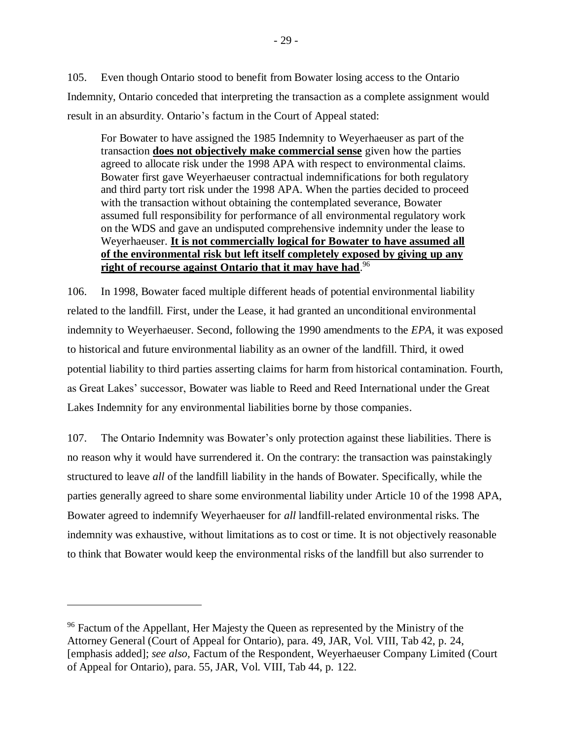105. Even though Ontario stood to benefit from Bowater losing access to the Ontario Indemnity, Ontario conceded that interpreting the transaction as a complete assignment would result in an absurdity. Ontario's factum in the Court of Appeal stated:

For Bowater to have assigned the 1985 Indemnity to Weyerhaeuser as part of the transaction **does not objectively make commercial sense** given how the parties agreed to allocate risk under the 1998 APA with respect to environmental claims. Bowater first gave Weyerhaeuser contractual indemnifications for both regulatory and third party tort risk under the 1998 APA. When the parties decided to proceed with the transaction without obtaining the contemplated severance, Bowater assumed full responsibility for performance of all environmental regulatory work on the WDS and gave an undisputed comprehensive indemnity under the lease to Weyerhaeuser. **It is not commercially logical for Bowater to have assumed all of the environmental risk but left itself completely exposed by giving up any right of recourse against Ontario that it may have had**. 96

106. In 1998, Bowater faced multiple different heads of potential environmental liability related to the landfill. First, under the Lease, it had granted an unconditional environmental indemnity to Weyerhaeuser. Second, following the 1990 amendments to the *EPA*, it was exposed to historical and future environmental liability as an owner of the landfill. Third, it owed potential liability to third parties asserting claims for harm from historical contamination. Fourth, as Great Lakes' successor, Bowater was liable to Reed and Reed International under the Great Lakes Indemnity for any environmental liabilities borne by those companies.

107. The Ontario Indemnity was Bowater's only protection against these liabilities. There is no reason why it would have surrendered it. On the contrary: the transaction was painstakingly structured to leave *all* of the landfill liability in the hands of Bowater. Specifically, while the parties generally agreed to share some environmental liability under Article 10 of the 1998 APA, Bowater agreed to indemnify Weyerhaeuser for *all* landfill-related environmental risks. The indemnity was exhaustive, without limitations as to cost or time. It is not objectively reasonable to think that Bowater would keep the environmental risks of the landfill but also surrender to

<sup>&</sup>lt;sup>96</sup> Factum of the Appellant, Her Majesty the Queen as represented by the Ministry of the Attorney General (Court of Appeal for Ontario), para. 49, JAR, Vol. VIII, Tab 42, p. 24, [emphasis added]; *see also,* Factum of the Respondent, Weyerhaeuser Company Limited (Court of Appeal for Ontario), para. 55, JAR, Vol. VIII, Tab 44, p. 122.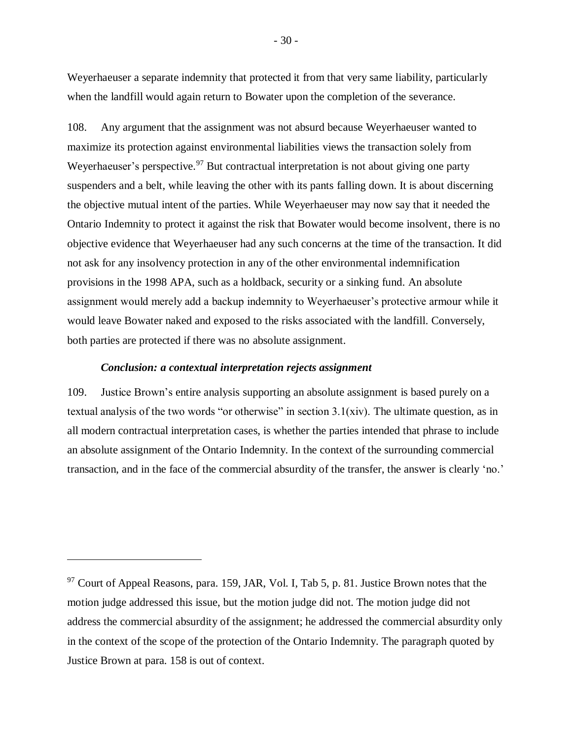Weyerhaeuser a separate indemnity that protected it from that very same liability, particularly when the landfill would again return to Bowater upon the completion of the severance.

108. Any argument that the assignment was not absurd because Weyerhaeuser wanted to maximize its protection against environmental liabilities views the transaction solely from Weyerhaeuser's perspective.<sup>97</sup> But contractual interpretation is not about giving one party suspenders and a belt, while leaving the other with its pants falling down. It is about discerning the objective mutual intent of the parties. While Weyerhaeuser may now say that it needed the Ontario Indemnity to protect it against the risk that Bowater would become insolvent, there is no objective evidence that Weyerhaeuser had any such concerns at the time of the transaction. It did not ask for any insolvency protection in any of the other environmental indemnification provisions in the 1998 APA, such as a holdback, security or a sinking fund. An absolute assignment would merely add a backup indemnity to Weyerhaeuser's protective armour while it would leave Bowater naked and exposed to the risks associated with the landfill. Conversely, both parties are protected if there was no absolute assignment.

### *Conclusion: a contextual interpretation rejects assignment*

<span id="page-33-0"></span>109. Justice Brown's entire analysis supporting an absolute assignment is based purely on a textual analysis of the two words "or otherwise" in section 3.1(xiv). The ultimate question, as in all modern contractual interpretation cases, is whether the parties intended that phrase to include an absolute assignment of the Ontario Indemnity. In the context of the surrounding commercial transaction, and in the face of the commercial absurdity of the transfer, the answer is clearly 'no.'

<sup>&</sup>lt;sup>97</sup> Court of Appeal Reasons, para. 159, JAR, Vol. I, Tab 5, p. 81. Justice Brown notes that the motion judge addressed this issue, but the motion judge did not. The motion judge did not address the commercial absurdity of the assignment; he addressed the commercial absurdity only in the context of the scope of the protection of the Ontario Indemnity. The paragraph quoted by Justice Brown at para. 158 is out of context.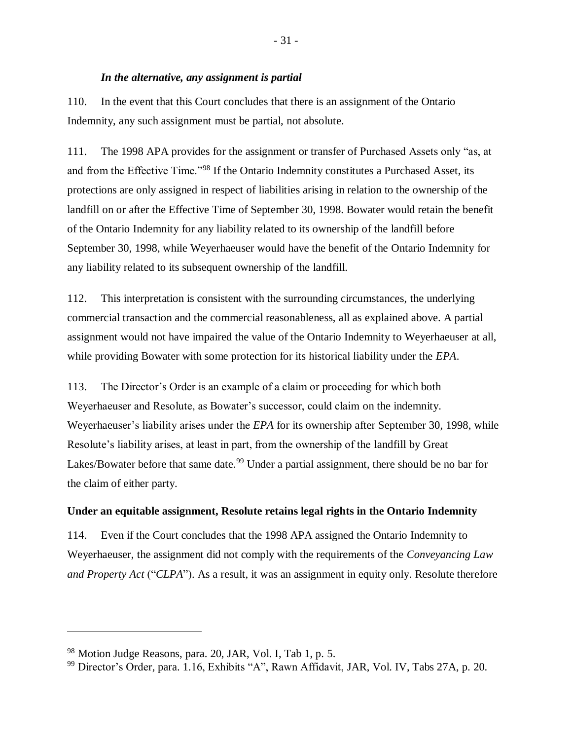### *In the alternative, any assignment is partial*

<span id="page-34-0"></span>110. In the event that this Court concludes that there is an assignment of the Ontario Indemnity, any such assignment must be partial, not absolute.

111. The 1998 APA provides for the assignment or transfer of Purchased Assets only "as, at and from the Effective Time."<sup>98</sup> If the Ontario Indemnity constitutes a Purchased Asset, its protections are only assigned in respect of liabilities arising in relation to the ownership of the landfill on or after the Effective Time of September 30, 1998. Bowater would retain the benefit of the Ontario Indemnity for any liability related to its ownership of the landfill before September 30, 1998, while Weyerhaeuser would have the benefit of the Ontario Indemnity for any liability related to its subsequent ownership of the landfill.

112. This interpretation is consistent with the surrounding circumstances, the underlying commercial transaction and the commercial reasonableness, all as explained above. A partial assignment would not have impaired the value of the Ontario Indemnity to Weyerhaeuser at all, while providing Bowater with some protection for its historical liability under the *EPA*.

113. The Director's Order is an example of a claim or proceeding for which both Weyerhaeuser and Resolute, as Bowater's successor, could claim on the indemnity. Weyerhaeuser's liability arises under the *EPA* for its ownership after September 30, 1998, while Resolute's liability arises, at least in part, from the ownership of the landfill by Great Lakes/Bowater before that same date.<sup>99</sup> Under a partial assignment, there should be no bar for the claim of either party.

### <span id="page-34-1"></span>**Under an equitable assignment, Resolute retains legal rights in the Ontario Indemnity**

114. Even if the Court concludes that the 1998 APA assigned the Ontario Indemnity to Weyerhaeuser, the assignment did not comply with the requirements of the *Conveyancing Law and Property Act* ("*CLPA*"). As a result, it was an assignment in equity only. Resolute therefore

<sup>98</sup> Motion Judge Reasons, para. 20, JAR, Vol. I, Tab 1, p. 5.

<sup>99</sup> Director's Order, para. 1.16, Exhibits "A", Rawn Affidavit, JAR, Vol. IV, Tabs 27A, p. 20.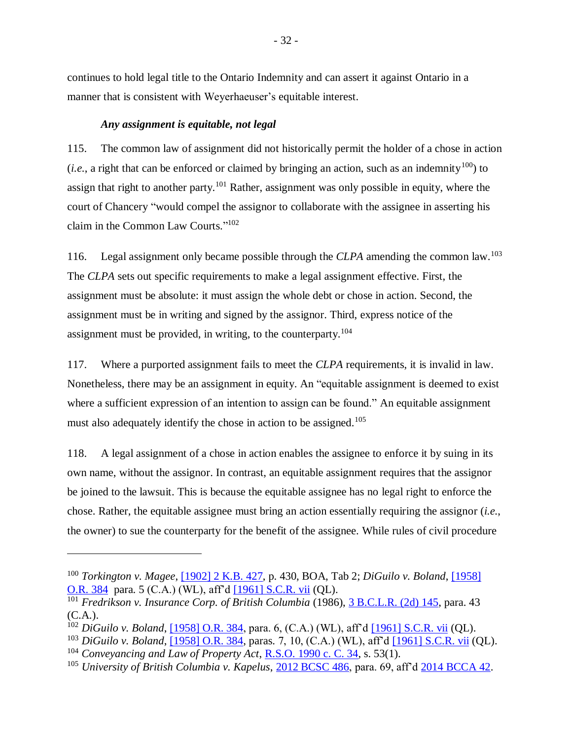continues to hold legal title to the Ontario Indemnity and can assert it against Ontario in a manner that is consistent with Weyerhaeuser's equitable interest.

### *Any assignment is equitable, not legal*

<span id="page-35-0"></span>115. The common law of assignment did not historically permit the holder of a chose in action (*i.e.*, a right that can be enforced or claimed by bringing an action, such as an indemnity<sup>100</sup>) to assign that right to another party.<sup>101</sup> Rather, assignment was only possible in equity, where the court of Chancery "would compel the assignor to collaborate with the assignee in asserting his claim in the Common Law Courts."<sup>102</sup>

116. Legal assignment only became possible through the *CLPA* amending the common law.<sup>103</sup> The *CLPA* sets out specific requirements to make a legal assignment effective. First, the assignment must be absolute: it must assign the whole debt or chose in action. Second, the assignment must be in writing and signed by the assignor. Third, express notice of the assignment must be provided, in writing, to the counterparty.<sup>104</sup>

117. Where a purported assignment fails to meet the *CLPA* requirements, it is invalid in law. Nonetheless, there may be an assignment in equity. An "equitable assignment is deemed to exist where a sufficient expression of an intention to assign can be found." An equitable assignment must also adequately identify the chose in action to be assigned.<sup>105</sup>

118. A legal assignment of a chose in action enables the assignee to enforce it by suing in its own name, without the assignor. In contrast, an equitable assignment requires that the assignor be joined to the lawsuit. This is because the equitable assignee has no legal right to enforce the chose. Rather, the equitable assignee must bring an action essentially requiring the assignor (*i.e.*, the owner) to sue the counterparty for the benefit of the assignee. While rules of civil procedure

<sup>100</sup> *Torkington v. Magee*, [\[1902\] 2 K.B. 427,](https://www.iclr.co.uk/document/1901000528/casereport_46312/html?query=%221902+2+kb+427%22&filter=&fullSearchFields=&page=1&sort=relevance&pageSize=10) p. 430, BOA, Tab 2; *DiGuilo v. Boland*[, \[1958\]](https://nextcanada.westlaw.com/Document/I10b717cf680863f0e0440003ba0d6c6d/View/FullText.html?originationContext=typeAhead&transitionType=Default&contextData=%28sc.Default%29)  [O.R. 384](https://nextcanada.westlaw.com/Document/I10b717cf680863f0e0440003ba0d6c6d/View/FullText.html?originationContext=typeAhead&transitionType=Default&contextData=%28sc.Default%29) para. 5 (C.A.) (WL), aff'd [\[1961\] S.C.R. vii](http://www.lexisnexis.com/ca/legal/docview/getDocForCuiReq?lni=52CY-TJ71-DYH1-S059&csi=281296&oc=00240&perma=true&secondRedirectIndicator=true) (QL).

<sup>101</sup> *Fredrikson v. Insurance Corp. of British Columbia* (1986)[, 3 B.C.L.R. \(2d\) 145,](http://canlii.ca/t/216k6) para. 43 (C.A.).

<sup>102</sup> *DiGuilo v. Boland*, [\[1958\] O.R. 384,](https://nextcanada.westlaw.com/Document/I10b717cf680863f0e0440003ba0d6c6d/View/FullText.html?originationContext=typeAhead&transitionType=Default&contextData=%28sc.Default%29) para. 6, (C.A.) (WL), aff'd [\[1961\] S.C.R. vii](http://www.lexisnexis.com/ca/legal/docview/getDocForCuiReq?lni=52CY-TJ71-DYH1-S059&csi=281296&oc=00240&perma=true&secondRedirectIndicator=true) (QL).

<sup>103</sup> *DiGuilo v. Boland*, [\[1958\] O.R. 384,](https://nextcanada.westlaw.com/Document/I10b717cf680863f0e0440003ba0d6c6d/View/FullText.html?originationContext=typeAhead&transitionType=Default&contextData=%28sc.Default%29) paras. 7, 10, (C.A.) (WL), aff'd [\[1961\] S.C.R. vii](http://www.lexisnexis.com/ca/legal/docview/getDocForCuiReq?lni=52CY-TJ71-DYH1-S059&csi=281296&oc=00240&perma=true&secondRedirectIndicator=true) (QL).

<sup>104</sup> *Conveyancing and Law of Property Act*, [R.S.O. 1990 c. C. 34,](http://canlii.ca/t/kppr) s. 53(1).

<sup>&</sup>lt;sup>105</sup> *University of British Columbia v. Kapelus*, [2012 BCSC 486,](http://canlii.ca/t/fqv37) para. 69, aff'd [2014 BCCA 42.](http://canlii.ca/t/g2xch)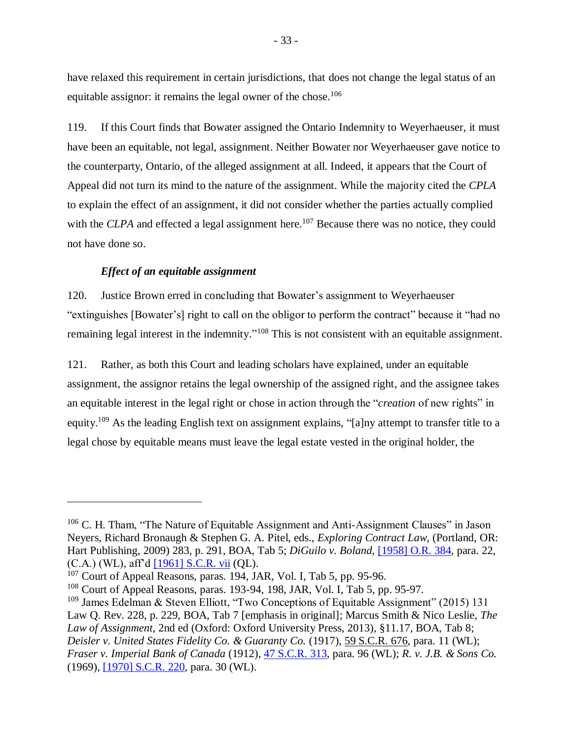have relaxed this requirement in certain jurisdictions, that does not change the legal status of an equitable assignor: it remains the legal owner of the chose.<sup>106</sup>

119. If this Court finds that Bowater assigned the Ontario Indemnity to Weyerhaeuser, it must have been an equitable, not legal, assignment. Neither Bowater nor Weyerhaeuser gave notice to the counterparty, Ontario, of the alleged assignment at all. Indeed, it appears that the Court of Appeal did not turn its mind to the nature of the assignment. While the majority cited the *CPLA* to explain the effect of an assignment, it did not consider whether the parties actually complied with the *CLPA* and effected a legal assignment here.<sup>107</sup> Because there was no notice, they could not have done so.

### *Effect of an equitable assignment*

<span id="page-36-0"></span>120. Justice Brown erred in concluding that Bowater's assignment to Weyerhaeuser "extinguishes [Bowater's] right to call on the obligor to perform the contract" because it "had no remaining legal interest in the indemnity."<sup>108</sup> This is not consistent with an equitable assignment.

121. Rather, as both this Court and leading scholars have explained, under an equitable assignment, the assignor retains the legal ownership of the assigned right, and the assignee takes an equitable interest in the legal right or chose in action through the "*creation* of new rights" in equity.<sup>109</sup> As the leading English text on assignment explains, "[a]ny attempt to transfer title to a legal chose by equitable means must leave the legal estate vested in the original holder, the

<sup>&</sup>lt;sup>106</sup> C. H. Tham, "The Nature of Equitable Assignment and Anti-Assignment Clauses" in Jason Neyers, Richard Bronaugh & Stephen G. A. Pitel, eds., *Exploring Contract Law*, (Portland, OR: Hart Publishing, 2009) 283, p. 291, BOA, Tab 5; *DiGuilo v. Boland*, [\[1958\] O.R. 384,](https://nextcanada.westlaw.com/Document/I10b717cf680863f0e0440003ba0d6c6d/View/FullText.html?originationContext=typeAhead&transitionType=Default&contextData=(sc.Default)&firstPage=true&CobaltRefresh=88407) para. 22, (C.A.) (WL), aff'd [\[1961\] S.C.R. vii](http://www.lexisnexis.com/ca/legal/docview/getDocForCuiReq?lni=52CY-TJ71-DYH1-S059&csi=281296&oc=00240&perma=true&secondRedirectIndicator=true) (QL).

<sup>&</sup>lt;sup>107</sup> Court of Appeal Reasons, paras. 194, JAR, Vol. I, Tab 5, pp. 95-96.

<sup>108</sup> Court of Appeal Reasons, paras. 193-94, 198, JAR, Vol. I, Tab 5, pp. 95-97.

<sup>109</sup> James Edelman & Steven Elliott, "Two Conceptions of Equitable Assignment" (2015) 131 Law Q. Rev. 228, p. 229, BOA, Tab 7 [emphasis in original]; Marcus Smith & Nico Leslie, *The Law of Assignment*, 2nd ed (Oxford: Oxford University Press, 2013), §11.17, BOA, Tab 8; *Deisler v. United States Fidelity Co. & Guaranty Co.* (1917), [59 S.C.R. 676,](https://nextcanada.westlaw.com/Document/I10b717d0ae3463f0e0440003ba0d6c6d/View/FullText.html?originationContext=typeAhead&transitionType=Default&contextData=(sc.Default)) para. 11 (WL); *Fraser v. Imperial Bank of Canada* (1912), [47 S.C.R. 313,](https://nextcanada.westlaw.com/Document/I10b717cf783763f0e0440003ba0d6c6d/View/FullText.html?originationContext=typeAhead&transitionType=Default&contextData=(sc.Default)) para. 96 (WL); *R. v. J.B. & Sons Co.*  (1969), [\[1970\] S.C.R. 220,](https://nextcanada.westlaw.com/Document/I10b717d0108563f0e0440003ba0d6c6d/View/FullText.html?originationContext=typeAhead&transitionType=Default&contextData=(sc.Default)) para. 30 (WL).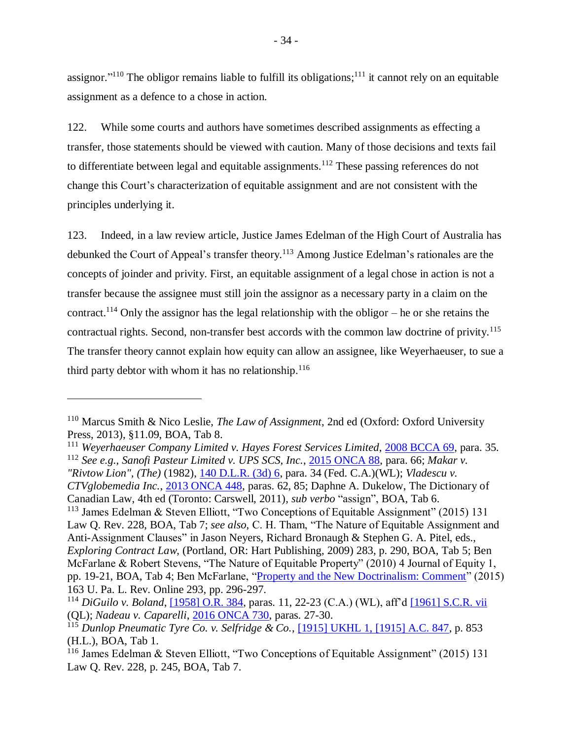assignor."<sup>110</sup> The obligor remains liable to fulfill its obligations;<sup>111</sup> it cannot rely on an equitable assignment as a defence to a chose in action.

122. While some courts and authors have sometimes described assignments as effecting a transfer, those statements should be viewed with caution. Many of those decisions and texts fail to differentiate between legal and equitable assignments.<sup>112</sup> These passing references do not change this Court's characterization of equitable assignment and are not consistent with the principles underlying it.

123. Indeed, in a law review article, Justice James Edelman of the High Court of Australia has debunked the Court of Appeal's transfer theory.<sup>113</sup> Among Justice Edelman's rationales are the concepts of joinder and privity. First, an equitable assignment of a legal chose in action is not a transfer because the assignee must still join the assignor as a necessary party in a claim on the contract.<sup>114</sup> Only the assignor has the legal relationship with the obligor – he or she retains the contractual rights. Second, non-transfer best accords with the common law doctrine of privity. 115 The transfer theory cannot explain how equity can allow an assignee, like Weyerhaeuser, to sue a third party debtor with whom it has no relationship. $116$ 

<sup>111</sup> *Weyerhaeuser Company Limited v. Hayes Forest Services Limited*, [2008 BCCA 69,](http://canlii.ca/t/1vrkr) para. 35. <sup>112</sup> *See e.g.*, *Sanofi Pasteur Limited v. UPS SCS, Inc.*, [2015 ONCA 88,](http://canlii.ca/t/gg7ck) para. 66; *Makar v. "Rivtow Lion", (The)* (1982), [140 D.L.R. \(3d\) 6,](https://nextcanada.westlaw.com/Document/I10b717ce5c7863f0e0440003ba0d6c6d/View/FullText.html?transitionType=SearchItem&contextData=(sc.Search)) para. 34 (Fed. C.A.)(WL); *Vladescu v. CTVglobemedia Inc.*, [2013 ONCA 448,](http://canlii.ca/t/fzfq7) paras. 62, 85; Daphne A. Dukelow, The Dictionary of Canadian Law, 4th ed (Toronto: Carswell, 2011), *sub verbo* "assign", BOA, Tab 6. <sup>113</sup> James Edelman & Steven Elliott, "Two Conceptions of Equitable Assignment" (2015) 131 Law Q. Rev. 228, BOA, Tab 7; *see also*, C. H. Tham, "The Nature of Equitable Assignment and Anti-Assignment Clauses" in Jason Neyers, Richard Bronaugh & Stephen G. A. Pitel, eds., *Exploring Contract Law*, (Portland, OR: Hart Publishing, 2009) 283, p. 290, BOA, Tab 5; Ben McFarlane & Robert Stevens, "The Nature of Equitable Property" (2010) 4 Journal of Equity 1, pp. 19-21, BOA, Tab 4; Ben McFarlane, ["Property and the New Doctrinalism: Comment"](https://www.pennlawreview.com/online/163-U-Pa-L-Rev-Online-293.pdf) (2015) 163 U. Pa. L. Rev. Online 293, pp. 296-297.

<sup>110</sup> Marcus Smith & Nico Leslie, *The Law of Assignment*, 2nd ed (Oxford: Oxford University Press, 2013), §11.09, BOA, Tab 8.

<sup>114</sup> *DiGuilo v. Boland*, [\[1958\] O.R. 384,](https://nextcanada.westlaw.com/Document/I10b717cf680863f0e0440003ba0d6c6d/View/FullText.html?originationContext=typeAhead&transitionType=Default&contextData=%28sc.Default%29) paras. 11, 22-23 (C.A.) (WL), aff'd [\[1961\] S.C.R. vii](http://www.lexisnexis.com/ca/legal/docview/getDocForCuiReq?lni=52CY-TJ71-DYH1-S059&csi=281296&oc=00240&perma=true&secondRedirectIndicator=true) (QL); *Nadeau v. Caparelli*, [2016 ONCA 730,](http://canlii.ca/t/gv0bm) paras. 27-30.

<sup>115</sup> *Dunlop Pneumatic Tyre Co. v. Selfridge & Co.*, [\[1915\] UKHL 1, \[1915\] A.C. 847,](http://www.bailii.org/uk/cases/UKHL/1915/1.html) p. 853 (H.L.), BOA, Tab 1.

<sup>116</sup> James Edelman & Steven Elliott, "Two Conceptions of Equitable Assignment" (2015) 131 Law Q. Rev. 228, p. 245, BOA, Tab 7.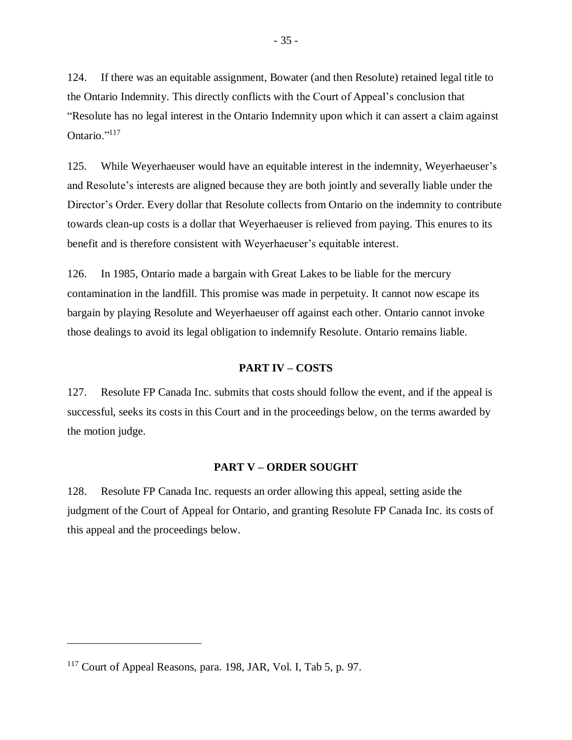124. If there was an equitable assignment, Bowater (and then Resolute) retained legal title to the Ontario Indemnity. This directly conflicts with the Court of Appeal's conclusion that "Resolute has no legal interest in the Ontario Indemnity upon which it can assert a claim against Ontario."<sup>117</sup>

125. While Weyerhaeuser would have an equitable interest in the indemnity, Weyerhaeuser's and Resolute's interests are aligned because they are both jointly and severally liable under the Director's Order. Every dollar that Resolute collects from Ontario on the indemnity to contribute towards clean-up costs is a dollar that Weyerhaeuser is relieved from paying. This enures to its benefit and is therefore consistent with Weyerhaeuser's equitable interest.

126. In 1985, Ontario made a bargain with Great Lakes to be liable for the mercury contamination in the landfill. This promise was made in perpetuity. It cannot now escape its bargain by playing Resolute and Weyerhaeuser off against each other. Ontario cannot invoke those dealings to avoid its legal obligation to indemnify Resolute. Ontario remains liable.

#### **PART IV – COSTS**

<span id="page-38-0"></span>127. Resolute FP Canada Inc. submits that costs should follow the event, and if the appeal is successful, seeks its costs in this Court and in the proceedings below, on the terms awarded by the motion judge.

#### **PART V – ORDER SOUGHT**

<span id="page-38-1"></span>128. Resolute FP Canada Inc. requests an order allowing this appeal, setting aside the judgment of the Court of Appeal for Ontario, and granting Resolute FP Canada Inc. its costs of this appeal and the proceedings below.

 $117$  Court of Appeal Reasons, para. 198, JAR, Vol. I, Tab 5, p. 97.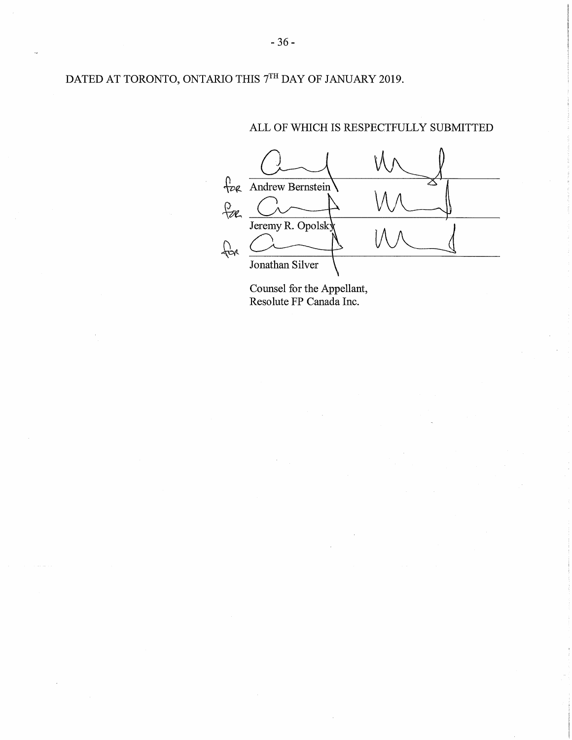DATED AT TORONTO, ONTARIO THIS  $7^{\rm TH}$  DAY OF JANUARY 2019.

#### ALL OF WHICH IS RESPECTFULLY SUBMITTED



Counsel for the Appellant,<br>Resolute FP Canada Inc.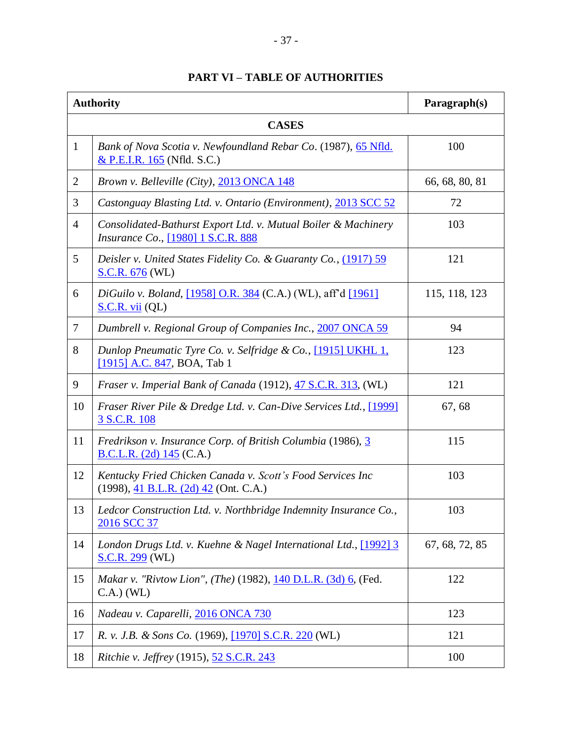# **PART VI – TABLE OF AUTHORITIES**

<span id="page-40-0"></span>

|                | <b>Authority</b>                                                                                                      | Paragraph(s)   |  |  |
|----------------|-----------------------------------------------------------------------------------------------------------------------|----------------|--|--|
| <b>CASES</b>   |                                                                                                                       |                |  |  |
| $\mathbf{1}$   | Bank of Nova Scotia v. Newfoundland Rebar Co. (1987), 65 Nfld.<br>& P.E.I.R. 165 (Nfld. S.C.)                         | 100            |  |  |
| $\overline{2}$ | Brown v. Belleville (City), 2013 ONCA 148                                                                             | 66, 68, 80, 81 |  |  |
| 3              | Castonguay Blasting Ltd. v. Ontario (Environment), 2013 SCC 52                                                        | 72             |  |  |
| $\overline{4}$ | Consolidated-Bathurst Export Ltd. v. Mutual Boiler & Machinery<br>Insurance Co., [1980] 1 S.C.R. 888                  | 103            |  |  |
| 5              | Deisler v. United States Fidelity Co. & Guaranty Co., (1917) 59<br><b>S.C.R. 676 (WL)</b>                             | 121            |  |  |
| 6              | DiGuilo v. Boland, [1958] O.R. 384 (C.A.) (WL), aff'd [1961]<br>S.C.R. vii (QL)                                       | 115, 118, 123  |  |  |
| $\overline{7}$ | Dumbrell v. Regional Group of Companies Inc., 2007 ONCA 59                                                            | 94             |  |  |
| 8              | Dunlop Pneumatic Tyre Co. v. Selfridge & Co., [1915] UKHL 1,<br>[1915] A.C. 847, BOA, Tab 1                           | 123            |  |  |
| 9              | <i>Fraser v. Imperial Bank of Canada</i> (1912), 47 S.C.R. 313, (WL)                                                  | 121            |  |  |
| 10             | Fraser River Pile & Dredge Ltd. v. Can-Dive Services Ltd., [1999]<br>3 S.C.R. 108                                     | 67, 68         |  |  |
| 11             | Fredrikson v. Insurance Corp. of British Columbia (1986), 3<br>B.C.L.R. $(2d)$ 145 (C.A.)                             | 115            |  |  |
| 12             | Kentucky Fried Chicken Canada v. Scott's Food Services Inc<br>$(1998), \underline{41 B.L.R.}$ $(2d)$ $42$ (Ont. C.A.) | 103            |  |  |
| 13             | Ledcor Construction Ltd. v. Northbridge Indemnity Insurance Co.,<br>2016 SCC 37                                       | 103            |  |  |
| 14             | London Drugs Ltd. v. Kuehne & Nagel International Ltd., [1992] 3<br>S.C.R. 299 (WL)                                   | 67, 68, 72, 85 |  |  |
| 15             | Makar v. "Rivtow Lion", (The) (1982), 140 D.L.R. (3d) 6, (Fed.<br>$C.A.)$ (WL)                                        | 122            |  |  |
| 16             | Nadeau v. Caparelli, 2016 ONCA 730                                                                                    | 123            |  |  |
| 17             | R. v. J.B. & Sons Co. (1969), [1970] S.C.R. 220 (WL)                                                                  | 121            |  |  |
| 18             | Ritchie v. Jeffrey (1915), 52 S.C.R. 243                                                                              | 100            |  |  |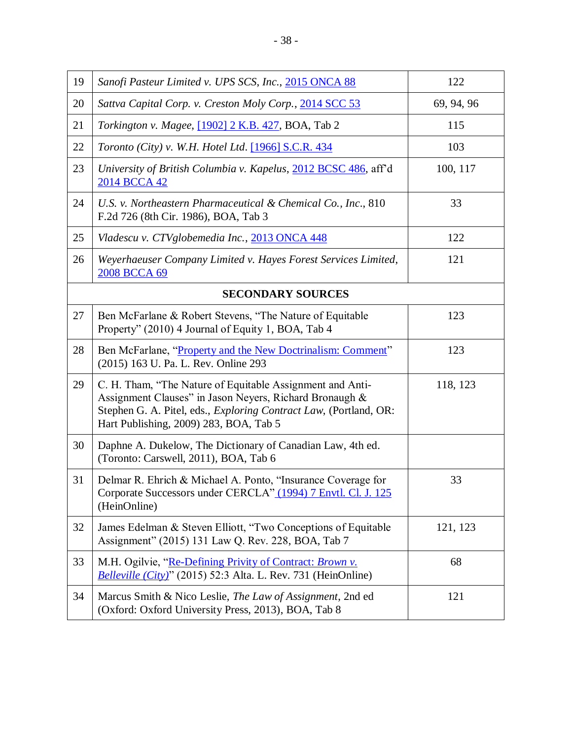| 19                       | Sanofi Pasteur Limited v. UPS SCS, Inc., 2015 ONCA 88                                                                                                                                                                               | 122        |  |
|--------------------------|-------------------------------------------------------------------------------------------------------------------------------------------------------------------------------------------------------------------------------------|------------|--|
| 20                       | Sattva Capital Corp. v. Creston Moly Corp., 2014 SCC 53                                                                                                                                                                             | 69, 94, 96 |  |
| 21                       | Torkington v. Magee, [1902] 2 K.B. 427, BOA, Tab 2                                                                                                                                                                                  | 115        |  |
| 22                       | Toronto (City) v. W.H. Hotel Ltd. [1966] S.C.R. 434                                                                                                                                                                                 | 103        |  |
| 23                       | University of British Columbia v. Kapelus, 2012 BCSC 486, aff d<br>2014 BCCA 42                                                                                                                                                     | 100, 117   |  |
| 24                       | U.S. v. Northeastern Pharmaceutical & Chemical Co., Inc., 810<br>F.2d 726 (8th Cir. 1986), BOA, Tab 3                                                                                                                               | 33         |  |
| 25                       | Vladescu v. CTVglobemedia Inc., 2013 ONCA 448                                                                                                                                                                                       | 122        |  |
| 26                       | Weyerhaeuser Company Limited v. Hayes Forest Services Limited,<br>2008 BCCA 69                                                                                                                                                      | 121        |  |
| <b>SECONDARY SOURCES</b> |                                                                                                                                                                                                                                     |            |  |
| 27                       | Ben McFarlane & Robert Stevens, "The Nature of Equitable<br>Property" (2010) 4 Journal of Equity 1, BOA, Tab 4                                                                                                                      | 123        |  |
| 28                       | Ben McFarlane, "Property and the New Doctrinalism: Comment"<br>(2015) 163 U. Pa. L. Rev. Online 293                                                                                                                                 | 123        |  |
| 29                       | C. H. Tham, "The Nature of Equitable Assignment and Anti-<br>Assignment Clauses" in Jason Neyers, Richard Bronaugh &<br>Stephen G. A. Pitel, eds., Exploring Contract Law, (Portland, OR:<br>Hart Publishing, 2009) 283, BOA, Tab 5 | 118, 123   |  |
| 30                       | Daphne A. Dukelow, The Dictionary of Canadian Law, 4th ed.<br>(Toronto: Carswell, 2011), BOA, Tab 6                                                                                                                                 |            |  |
| 31                       | Delmar R. Ehrich & Michael A. Ponto, "Insurance Coverage for<br>Corporate Successors under CERCLA" (1994) 7 Envtl. Cl. J. 125<br>(HeinOnline)                                                                                       | 33         |  |
| 32                       | James Edelman & Steven Elliott, "Two Conceptions of Equitable<br>Assignment" (2015) 131 Law Q. Rev. 228, BOA, Tab 7                                                                                                                 | 121, 123   |  |
| 33                       | M.H. Ogilvie, "Re-Defining Privity of Contract: Brown v.<br>Belleville (City)" (2015) 52:3 Alta. L. Rev. 731 (HeinOnline)                                                                                                           | 68         |  |
| 34                       | Marcus Smith & Nico Leslie, The Law of Assignment, 2nd ed<br>(Oxford: Oxford University Press, 2013), BOA, Tab 8                                                                                                                    | 121        |  |